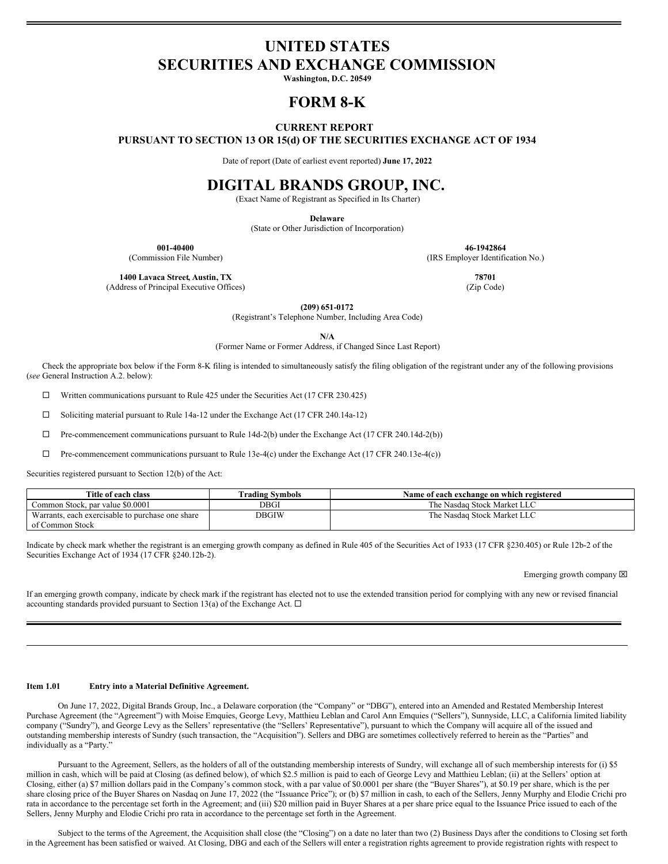# **UNITED STATES SECURITIES AND EXCHANGE COMMISSION**

**Washington, D.C. 20549**

## **FORM 8-K**

### **CURRENT REPORT**

**PURSUANT TO SECTION 13 OR 15(d) OF THE SECURITIES EXCHANGE ACT OF 1934**

Date of report (Date of earliest event reported) **June 17, 2022**

# **DIGITAL BRANDS GROUP, INC.**

(Exact Name of Registrant as Specified in Its Charter)

**Delaware**

(State or Other Jurisdiction of Incorporation)

**001-40400 46-1942864**

(Commission File Number) (IRS Employer Identification No.)

**1400 Lavaca Street, Austin, TX 78701** (Address of Principal Executive Offices) (Zip Code)

**(209) 651-0172**

(Registrant's Telephone Number, Including Area Code)

**N/A**

(Former Name or Former Address, if Changed Since Last Report)

Check the appropriate box below if the Form 8-K filing is intended to simultaneously satisfy the filing obligation of the registrant under any of the following provisions (*see* General Instruction A.2. below):

 $\Box$  Written communications pursuant to Rule 425 under the Securities Act (17 CFR 230.425)

 $\Box$  Soliciting material pursuant to Rule 14a-12 under the Exchange Act (17 CFR 240.14a-12)

 $\Box$  Pre-commencement communications pursuant to Rule 14d-2(b) under the Exchange Act (17 CFR 240.14d-2(b))

 $\Box$  Pre-commencement communications pursuant to Rule 13e-4(c) under the Exchange Act (17 CFR 240.13e-4(c))

Securities registered pursuant to Section 12(b) of the Act:

| Title of each class                              | <b>Trading Symbols</b> | Name of each exchange on which registered |
|--------------------------------------------------|------------------------|-------------------------------------------|
| Common Stock, par value \$0,0001                 | <b>DBGI</b>            | The Nasdaq Stock Market LLC               |
| Warrants, each exercisable to purchase one share | <b>DBGIW</b>           | The Nasdaq Stock Market LLC               |
| of Common Stock                                  |                        |                                           |

Indicate by check mark whether the registrant is an emerging growth company as defined in Rule 405 of the Securities Act of 1933 (17 CFR §230.405) or Rule 12b-2 of the Securities Exchange Act of 1934 (17 CFR §240.12b-2).

Emerging growth company  $[2]$ 

If an emerging growth company, indicate by check mark if the registrant has elected not to use the extended transition period for complying with any new or revised financial accounting standards provided pursuant to Section 13(a) of the Exchange Act.  $\Box$ 

#### **Item 1.01 Entry into a Material Definitive Agreement.**

On June 17, 2022, Digital Brands Group, Inc., a Delaware corporation (the "Company" or "DBG"), entered into an Amended and Restated Membership Interest Purchase Agreement (the "Agreement") with Moise Emquies, George Levy, Matthieu Leblan and Carol Ann Emquies ("Sellers"), Sunnyside, LLC, a California limited liability company ("Sundry"), and George Levy as the Sellers' representative (the "Sellers' Representative"), pursuant to which the Company will acquire all of the issued and outstanding membership interests of Sundry (such transaction, the "Acquisition"). Sellers and DBG are sometimes collectively referred to herein as the "Parties" and individually as a "Party."

Pursuant to the Agreement, Sellers, as the holders of all of the outstanding membership interests of Sundry, will exchange all of such membership interests for (i) \$5 million in cash, which will be paid at Closing (as defined below), of which \$2.5 million is paid to each of George Levy and Matthieu Leblan; (ii) at the Sellers' option at Closing, either (a) \$7 million dollars paid in the Company's common stock, with a par value of \$0.0001 per share (the "Buyer Shares"), at \$0.19 per share, which is the per share closing price of the Buyer Shares on Nasdaq on June 17, 2022 (the "Issuance Price"); or (b) \$7 million in cash, to each of the Sellers, Jenny Murphy and Elodie Crichi pro rata in accordance to the percentage set forth in the Agreement; and (iii) \$20 million paid in Buyer Shares at a per share price equal to the Issuance Price issued to each of the Sellers, Jenny Murphy and Elodie Crichi pro rata in accordance to the percentage set forth in the Agreement.

Subject to the terms of the Agreement, the Acquisition shall close (the "Closing") on a date no later than two (2) Business Days after the conditions to Closing set forth in the Agreement has been satisfied or waived. At Closing, DBG and each of the Sellers will enter a registration rights agreement to provide registration rights with respect to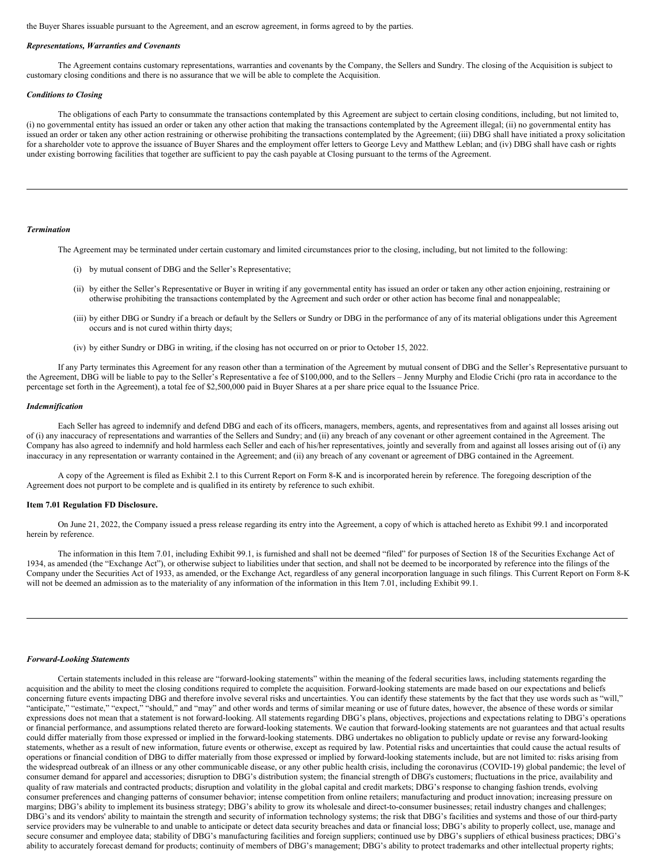the Buyer Shares issuable pursuant to the Agreement, and an escrow agreement, in forms agreed to by the parties.

#### *Representations, Warranties and Covenants*

The Agreement contains customary representations, warranties and covenants by the Company, the Sellers and Sundry. The closing of the Acquisition is subject to customary closing conditions and there is no assurance that we will be able to complete the Acquisition.

#### *Conditions to Closing*

The obligations of each Party to consummate the transactions contemplated by this Agreement are subject to certain closing conditions, including, but not limited to, (i) no governmental entity has issued an order or taken any other action that making the transactions contemplated by the Agreement illegal; (ii) no governmental entity has issued an order or taken any other action restraining or otherwise prohibiting the transactions contemplated by the Agreement; (iii) DBG shall have initiated a proxy solicitation for a shareholder vote to approve the issuance of Buyer Shares and the employment offer letters to George Levy and Matthew Leblan; and (iv) DBG shall have cash or rights under existing borrowing facilities that together are sufficient to pay the cash payable at Closing pursuant to the terms of the Agreement.

#### *Termination*

The Agreement may be terminated under certain customary and limited circumstances prior to the closing, including, but not limited to the following:

- (i) by mutual consent of DBG and the Seller's Representative;
- (ii) by either the Seller's Representative or Buyer in writing if any governmental entity has issued an order or taken any other action enjoining, restraining or otherwise prohibiting the transactions contemplated by the Agreement and such order or other action has become final and nonappealable;
- (iii) by either DBG or Sundry if a breach or default by the Sellers or Sundry or DBG in the performance of any of its material obligations under this Agreement occurs and is not cured within thirty days;
- (iv) by either Sundry or DBG in writing, if the closing has not occurred on or prior to October 15, 2022.

If any Party terminates this Agreement for any reason other than a termination of the Agreement by mutual consent of DBG and the Seller's Representative pursuant to the Agreement, DBG will be liable to pay to the Seller's Representative a fee of \$100,000, and to the Sellers – Jenny Murphy and Elodie Crichi (pro rata in accordance to the percentage set forth in the Agreement), a total fee of \$2,500,000 paid in Buyer Shares at a per share price equal to the Issuance Price.

#### *Indemnification*

Each Seller has agreed to indemnify and defend DBG and each of its officers, managers, members, agents, and representatives from and against all losses arising out of (i) any inaccuracy of representations and warranties of the Sellers and Sundry; and (ii) any breach of any covenant or other agreement contained in the Agreement. The Company has also agreed to indemnify and hold harmless each Seller and each of his/her representatives, jointly and severally from and against all losses arising out of (i) any inaccuracy in any representation or warranty contained in the Agreement; and (ii) any breach of any covenant or agreement of DBG contained in the Agreement.

A copy of the Agreement is filed as Exhibit 2.1 to this Current Report on Form 8-K and is incorporated herein by reference. The foregoing description of the Agreement does not purport to be complete and is qualified in its entirety by reference to such exhibit.

#### **Item 7.01 Regulation FD Disclosure.**

On June 21, 2022, the Company issued a press release regarding its entry into the Agreement, a copy of which is attached hereto as Exhibit 99.1 and incorporated herein by reference.

The information in this Item 7.01, including Exhibit 99.1, is furnished and shall not be deemed "filed" for purposes of Section 18 of the Securities Exchange Act of 1934, as amended (the "Exchange Act"), or otherwise subject to liabilities under that section, and shall not be deemed to be incorporated by reference into the filings of the Company under the Securities Act of 1933, as amended, or the Exchange Act, regardless of any general incorporation language in such filings. This Current Report on Form 8-K will not be deemed an admission as to the materiality of any information of the information in this Item 7.01, including Exhibit 99.1.

#### *Forward-Looking Statements*

Certain statements included in this release are "forward-looking statements" within the meaning of the federal securities laws, including statements regarding the acquisition and the ability to meet the closing conditions required to complete the acquisition. Forward-looking statements are made based on our expectations and beliefs concerning future events impacting DBG and therefore involve several risks and uncertainties. You can identify these statements by the fact that they use words such as "will," "anticipate," "estimate," "expect," "should," and "may" and other words and terms of similar meaning or use of future dates, however, the absence of these words or similar expressions does not mean that a statement is not forward-looking. All statements regarding DBG's plans, objectives, projections and expectations relating to DBG's operations or financial performance, and assumptions related thereto are forward-looking statements. We caution that forward-looking statements are not guarantees and that actual results could differ materially from those expressed or implied in the forward-looking statements. DBG undertakes no obligation to publicly update or revise any forward-looking statements, whether as a result of new information, future events or otherwise, except as required by law. Potential risks and uncertainties that could cause the actual results of operations or financial condition of DBG to differ materially from those expressed or implied by forward-looking statements include, but are not limited to: risks arising from the widespread outbreak of an illness or any other communicable disease, or any other public health crisis, including the coronavirus (COVID-19) global pandemic; the level of consumer demand for apparel and accessories; disruption to DBG's distribution system; the financial strength of DBG's customers; fluctuations in the price, availability and quality of raw materials and contracted products; disruption and volatility in the global capital and credit markets; DBG's response to changing fashion trends, evolving consumer preferences and changing patterns of consumer behavior; intense competition from online retailers; manufacturing and product innovation; increasing pressure on margins; DBG's ability to implement its business strategy; DBG's ability to grow its wholesale and direct-to-consumer businesses; retail industry changes and challenges; DBG's and its vendors' ability to maintain the strength and security of information technology systems; the risk that DBG's facilities and systems and those of our third-party service providers may be vulnerable to and unable to anticipate or detect data security breaches and data or financial loss; DBG's ability to properly collect, use, manage and secure consumer and employee data; stability of DBG's manufacturing facilities and foreign suppliers; continued use by DBG's suppliers of ethical business practices; DBG's ability to accurately forecast demand for products; continuity of members of DBG's management; DBG's ability to protect trademarks and other intellectual property rights;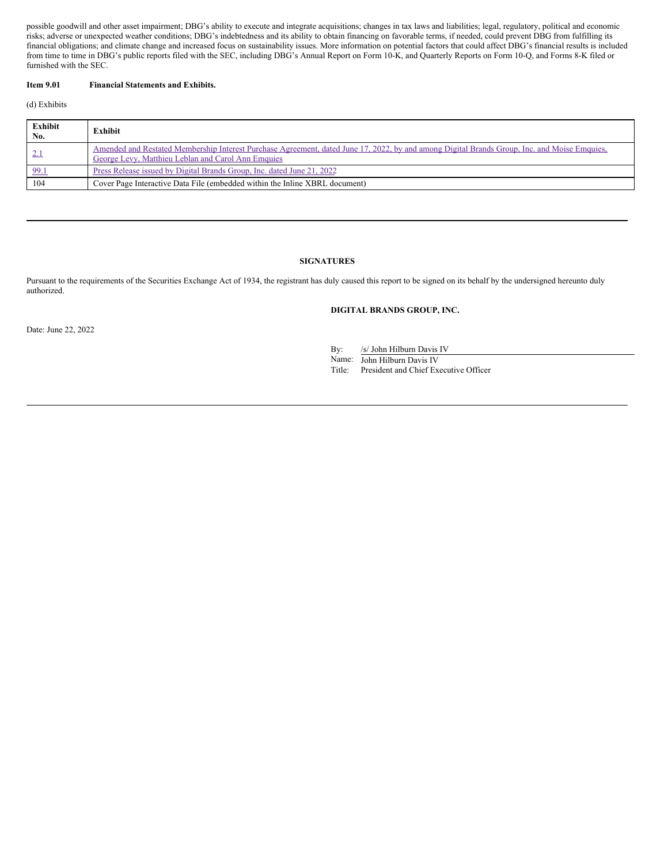possible goodwill and other asset impairment; DBG's ability to execute and integrate acquisitions; changes in tax laws and liabilities; legal, regulatory, political and economic risks; adverse or unexpected weather conditions; DBG's indebtedness and its ability to obtain financing on favorable terms, if needed, could prevent DBG from fulfilling its financial obligations; and climate change and increased focus on sustainability issues. More information on potential factors that could affect DBG's financial results is included from time to time in DBG's public reports filed with the SEC, including DBG's Annual Report on Form 10-K, and Quarterly Reports on Form 10-Q, and Forms 8-K filed or furnished with the SEC.

#### **Item 9.01 Financial Statements and Exhibits.**

#### (d) Exhibits

| <b>Exhibit</b><br>No. | Exhibit                                                                                                                                                                                            |
|-----------------------|----------------------------------------------------------------------------------------------------------------------------------------------------------------------------------------------------|
| <u>2.1</u>            | Amended and Restated Membership Interest Purchase Agreement, dated June 17, 2022, by and among Digital Brands Group, Inc. and Moise Emquies,<br>George Levy, Matthieu Leblan and Carol Ann Emquies |
| <u>99.1</u>           | Press Release issued by Digital Brands Group, Inc. dated June 21, 2022                                                                                                                             |
| 104                   | Cover Page Interactive Data File (embedded within the Inline XBRL document)                                                                                                                        |

#### **SIGNATURES**

Pursuant to the requirements of the Securities Exchange Act of 1934, the registrant has duly caused this report to be signed on its behalf by the undersigned hereunto duly authorized.

#### **DIGITAL BRANDS GROUP, INC.**

Date: June 22, 2022

By: /s/ John Hilburn Davis IV

Name: John Hilburn Davis IV

Title: President and Chief Executive Officer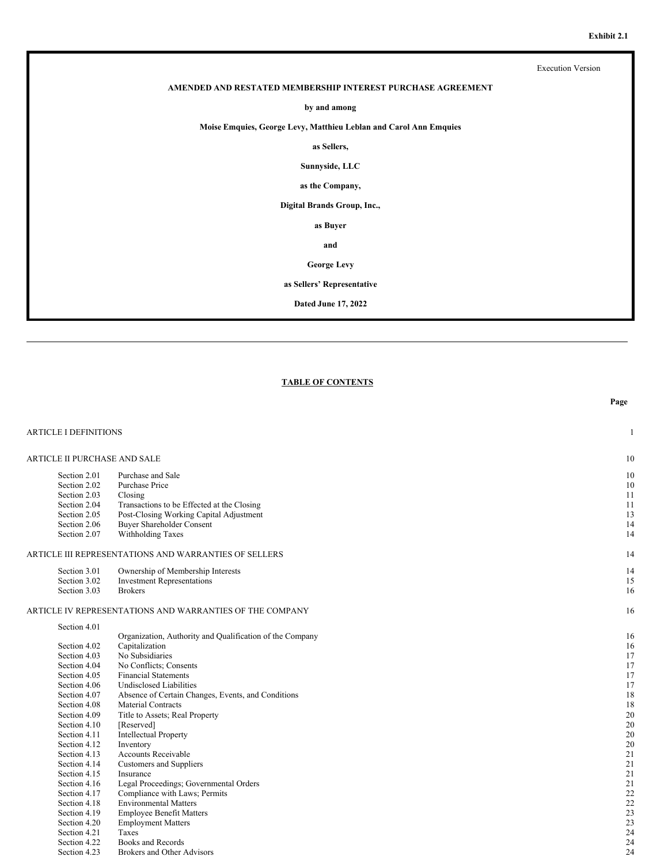**Page**

# Execution Version **AMENDED AND RESTATED MEMBERSHIP INTEREST PURCHASE AGREEMENT**

# **by and among Moise Emquies, George Levy, Matthieu Leblan and Carol Ann Emquies**

#### **as Sellers,**

#### **Sunnyside, LLC**

#### **as the Company,**

#### **Digital Brands Group, Inc.,**

**as Buyer**

**and**

#### **George Levy**

**as Sellers' Representative**

#### **Dated June 17, 2022**

#### **TABLE OF CONTENTS**

| <b>ARTICLE I DEFINITIONS</b> |                                                          | 1  |
|------------------------------|----------------------------------------------------------|----|
| ARTICLE II PURCHASE AND SALE |                                                          | 10 |
| Section 2.01                 | Purchase and Sale                                        | 10 |
| Section 2.02                 | Purchase Price                                           | 10 |
| Section 2.03                 | Closing                                                  | 11 |
| Section 2.04                 | Transactions to be Effected at the Closing               | 11 |
| Section 2.05                 | Post-Closing Working Capital Adjustment                  | 13 |
| Section 2.06                 | <b>Buyer Shareholder Consent</b>                         | 14 |
| Section 2.07                 | Withholding Taxes                                        | 14 |
|                              | ARTICLE III REPRESENTATIONS AND WARRANTIES OF SELLERS    | 14 |
| Section 3.01                 | Ownership of Membership Interests                        | 14 |
| Section 3.02                 | <b>Investment Representations</b>                        | 15 |
| Section 3.03                 | <b>Brokers</b>                                           | 16 |
|                              | ARTICLE IV REPRESENTATIONS AND WARRANTIES OF THE COMPANY | 16 |
| Section 4.01                 |                                                          |    |
|                              | Organization, Authority and Qualification of the Company | 16 |
| Section 4.02                 | Capitalization                                           | 16 |
| Section 4.03                 | No Subsidiaries                                          | 17 |
| Section 4.04                 | No Conflicts; Consents                                   | 17 |
| Section 4.05                 | <b>Financial Statements</b>                              | 17 |
| Section 4.06                 | <b>Undisclosed Liabilities</b>                           | 17 |
| Section 4.07                 | Absence of Certain Changes, Events, and Conditions       | 18 |
| Section 4.08                 | Material Contracts                                       | 18 |
| Section 4.09                 | Title to Assets; Real Property                           | 20 |
| Section 4.10                 | [Reserved]                                               | 20 |
| Section 4.11                 | <b>Intellectual Property</b>                             | 20 |
| Section 4.12                 | Inventory                                                | 20 |
| Section 4.13                 | Accounts Receivable                                      | 21 |
| Section 4.14                 | Customers and Suppliers                                  | 21 |
| Section 4.15                 | Insurance                                                | 21 |
| Section 4.16                 | Legal Proceedings; Governmental Orders                   | 21 |
| Section 4.17                 | Compliance with Laws; Permits                            | 22 |
| Section 4.18                 | <b>Environmental Matters</b>                             | 22 |
| Section 4.19                 | <b>Employee Benefit Matters</b>                          | 23 |
| Section 4.20                 | <b>Employment Matters</b>                                | 23 |
| Section 4.21                 | Taxes                                                    | 24 |
| Section 4.22                 | <b>Books and Records</b>                                 | 24 |
| Section 4.23                 | <b>Brokers and Other Advisors</b>                        | 24 |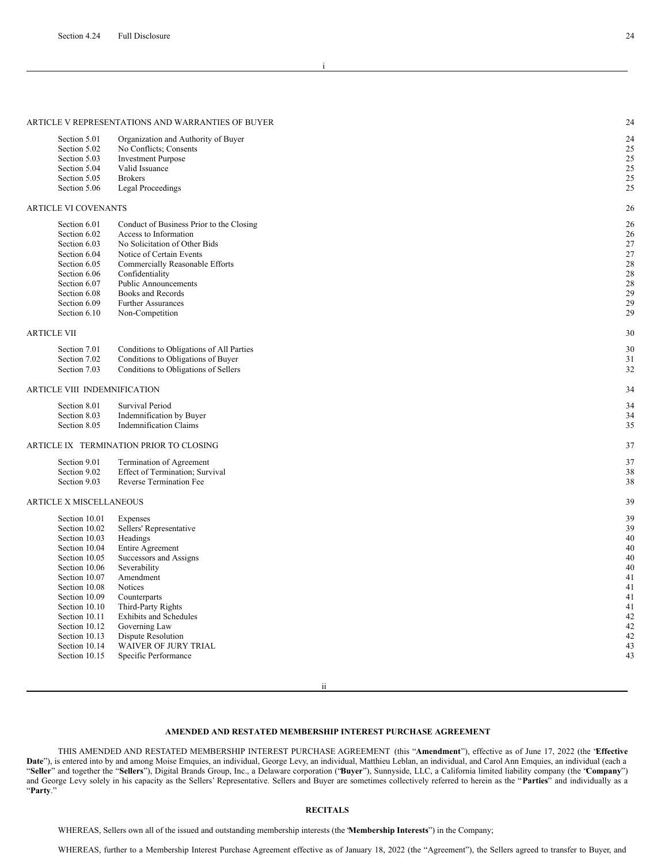#### ARTICLE V REPRESENTATIONS AND WARRANTIES OF BUYER 24

| Section 5.01         | Organization and Authority of Buyer | 24 |
|----------------------|-------------------------------------|----|
| Section 5.02         | No Conflicts; Consents              | 25 |
| Section 5.03         | <b>Investment Purpose</b>           | 25 |
| Section 5.04         | Valid Issuance                      | 25 |
| Section 5.05         | <b>Brokers</b>                      | 25 |
| Section 5.06         | Legal Proceedings                   | 25 |
|                      |                                     |    |
| ARTICLE VI COVENANTS |                                     | 26 |
|                      |                                     |    |

| Section 6.01                 | Conduct of Business Prior to the Closing | 26 |
|------------------------------|------------------------------------------|----|
| Section 6.02                 | Access to Information                    | 26 |
| Section 6.03                 | No Solicitation of Other Bids            | 27 |
| Section 6.04                 | Notice of Certain Events                 | 27 |
| Section 6.05                 | Commercially Reasonable Efforts          | 28 |
| Section 6.06                 | Confidentiality                          | 28 |
| Section 6.07                 | <b>Public Announcements</b>              | 28 |
| Section 6.08                 | Books and Records                        | 29 |
| Section 6.09                 | <b>Further Assurances</b>                | 29 |
| Section 6.10                 | Non-Competition                          | 29 |
| ARTICLE VII                  |                                          | 30 |
| Section 7.01                 | Conditions to Obligations of All Parties | 30 |
| Section 7.02                 | Conditions to Obligations of Buyer       | 31 |
| Section 7.03                 | Conditions to Obligations of Sellers     | 32 |
| ARTICLE VIII INDEMNIFICATION |                                          | 34 |
| Section 8.01                 | <b>Survival Period</b>                   | 34 |
| Section 8.03                 | Indemnification by Buyer                 | 34 |
| Section 8.05                 | <b>Indemnification Claims</b>            | 35 |
|                              | ARTICLE IX TERMINATION PRIOR TO CLOSING  | 37 |
| Section 9.01                 | Termination of Agreement                 | 37 |
| Section 9.02                 | Effect of Termination; Survival          | 38 |
| Section 9.03                 | <b>Reverse Termination Fee</b>           | 38 |
| ARTICLE X MISCELLANEOUS      |                                          | 39 |
| Section 10.01                | Expenses                                 | 39 |
| Section 10.02                | Sellers' Representative                  | 39 |
| Section 10.03                | Headings                                 | 40 |
| Section 10.04                | Entire Agreement                         | 40 |
| Section 10.05                | Successors and Assigns                   | 40 |
| Section 10.06                | Severability                             | 40 |
| Section 10.07                | Amendment                                | 41 |
| Section 10.08                | Notices                                  | 41 |
| Section 10.09                | Counterparts                             | 41 |
| Section 10.10                | Third-Party Rights                       | 41 |
| Section 10.11                | <b>Exhibits and Schedules</b>            | 42 |
| Section 10.12                | Governing Law                            | 42 |
| Section 10.13                | Dispute Resolution                       | 42 |
| Section 10.14                | WAIVER OF JURY TRIAL                     | 43 |
| Section 10.15                | Specific Performance                     | 43 |
|                              |                                          |    |

ii

#### **AMENDED AND RESTATED MEMBERSHIP INTEREST PURCHASE AGREEMENT**

THIS AMENDED AND RESTATED MEMBERSHIP INTEREST PURCHASE AGREEMENT (this "**Amendment**"), effective as of June 17, 2022 (the "**Effective Date**"), is entered into by and among Moise Emquies, an individual, George Levy, an individual, Matthieu Leblan, an individual, and Carol Ann Emquies, an individual (each a "**Seller**" and together the "**Sellers**"), Digital Brands Group, Inc., a Delaware corporation ("**Buyer**"), Sunnyside, LLC, a California limited liability company (the "**Company**") and George Levy solely in his capacity as the Sellers' Representative. Sellers and Buyer are sometimes collectively referred to herein as the "**Parties**" and individually as a "**Party**."

#### **RECITALS**

WHEREAS, Sellers own all of the issued and outstanding membership interests (the "**Membership Interests**") in the Company;

WHEREAS, further to a Membership Interest Purchase Agreement effective as of January 18, 2022 (the "Agreement"), the Sellers agreed to transfer to Buyer, and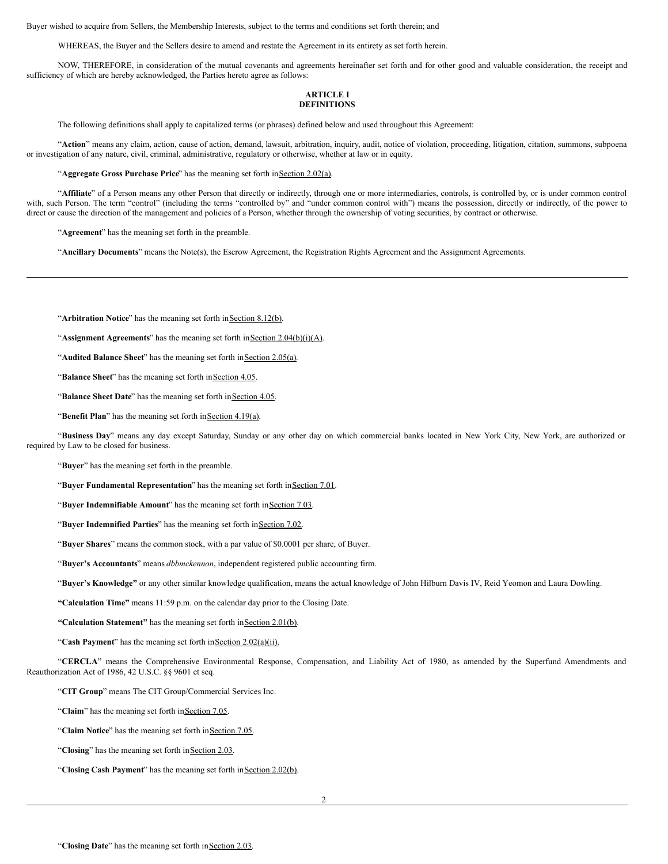Buyer wished to acquire from Sellers, the Membership Interests, subject to the terms and conditions set forth therein; and

WHEREAS, the Buyer and the Sellers desire to amend and restate the Agreement in its entirety as set forth herein.

NOW, THEREFORE, in consideration of the mutual covenants and agreements hereinafter set forth and for other good and valuable consideration, the receipt and sufficiency of which are hereby acknowledged, the Parties hereto agree as follows:

#### **ARTICLE I DEFINITIONS**

The following definitions shall apply to capitalized terms (or phrases) defined below and used throughout this Agreement:

"**Action**" means any claim, action, cause of action, demand, lawsuit, arbitration, inquiry, audit, notice of violation, proceeding, litigation, citation, summons, subpoena or investigation of any nature, civil, criminal, administrative, regulatory or otherwise, whether at law or in equity.

"**Aggregate Gross Purchase Price**" has the meaning set forth inSection 2.02(a).

"**Affiliate**" of a Person means any other Person that directly or indirectly, through one or more intermediaries, controls, is controlled by, or is under common control with, such Person. The term "control" (including the terms "controlled by" and "under common control with") means the possession, directly or indirectly, of the power to direct or cause the direction of the management and policies of a Person, whether through the ownership of voting securities, by contract or otherwise.

"**Agreement**" has the meaning set forth in the preamble.

"**Ancillary Documents**" means the Note(s), the Escrow Agreement, the Registration Rights Agreement and the Assignment Agreements.

"Arbitration Notice" has the meaning set forth in Section 8.12(b).

"**Assignment Agreements**" has the meaning set forth in Section 2.04(b)(i)(A).

"**Audited Balance Sheet**" has the meaning set forth inSection 2.05(a).

"**Balance Sheet**" has the meaning set forth in Section 4.05.

"**Balance Sheet Date**" has the meaning set forth inSection 4.05.

**"Benefit Plan**" has the meaning set forth in Section 4.19(a).

"**Business Day**" means any day except Saturday, Sunday or any other day on which commercial banks located in New York City, New York, are authorized or required by Law to be closed for business.

"**Buyer**" has the meaning set forth in the preamble.

"**Buyer Fundamental Representation**" has the meaning set forth inSection 7.01.

"Buyer Indemnifiable Amount" has the meaning set forth in Section 7.03.

"**Buyer Indemnified Parties**" has the meaning set forth inSection 7.02.

"**Buyer Shares**" means the common stock, with a par value of \$0.0001 per share, of Buyer.

"**Buyer's Accountants**" means *dbbmckennon*, independent registered public accounting firm.

"**Buyer's Knowledge"** or any other similar knowledge qualification, means the actual knowledge of John Hilburn Davis IV, Reid Yeomon and Laura Dowling.

**"Calculation Time"** means 11:59 p.m. on the calendar day prior to the Closing Date.

**"Calculation Statement"** has the meaning set forth inSection 2.01(b).

"**Cash Payment**" has the meaning set forth inSection 2.02(a)(ii).

"**CERCLA**" means the Comprehensive Environmental Response, Compensation, and Liability Act of 1980, as amended by the Superfund Amendments and Reauthorization Act of 1986, 42 U.S.C. §§ 9601 et seq.

"**CIT Group**" means The CIT Group/Commercial Services Inc.

"Claim" has the meaning set forth in Section 7.05.

"Claim Notice" has the meaning set forth in Section 7.05.

"Closing" has the meaning set forth in Section 2.03.

"**Closing Cash Payment**" has the meaning set forth in Section 2.02(b).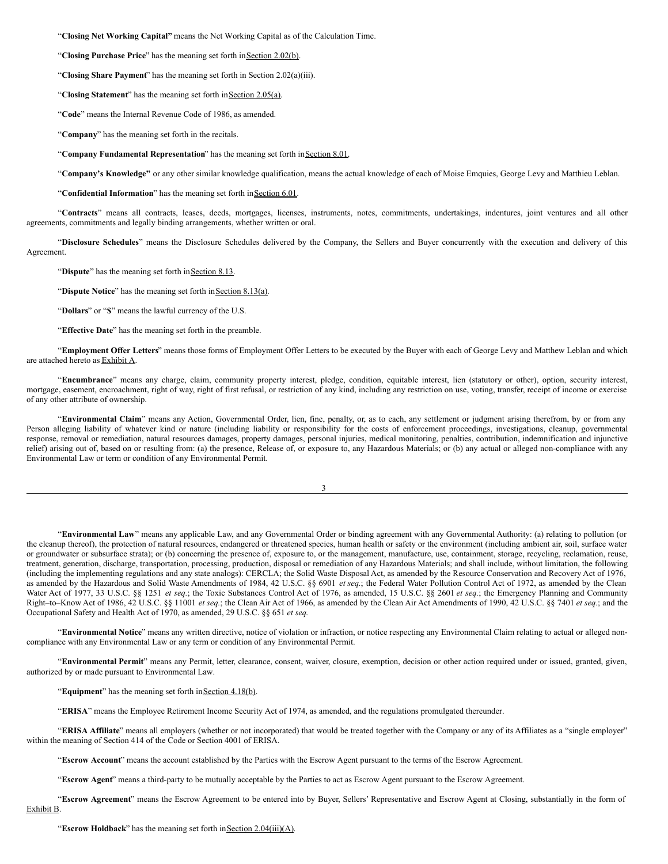"**Closing Net Working Capital"** means the Net Working Capital as of the Calculation Time.

"**Closing Purchase Price**" has the meaning set forth in Section 2.02(b).

"**Closing Share Payment**" has the meaning set forth in Section 2.02(a)(iii).

"**Closing Statement**" has the meaning set forth in Section 2.05(a).

"**Code**" means the Internal Revenue Code of 1986, as amended.

"**Company**" has the meaning set forth in the recitals.

"Company Fundamental Representation" has the meaning set forth in Section 8.01.

"**Company's Knowledge"** or any other similar knowledge qualification, means the actual knowledge of each of Moise Emquies, George Levy and Matthieu Leblan.

"**Confidential Information**" has the meaning set forth in Section 6.01.

"**Contracts**" means all contracts, leases, deeds, mortgages, licenses, instruments, notes, commitments, undertakings, indentures, joint ventures and all other agreements, commitments and legally binding arrangements, whether written or oral.

"**Disclosure Schedules**" means the Disclosure Schedules delivered by the Company, the Sellers and Buyer concurrently with the execution and delivery of this Agreement.

"**Dispute**" has the meaning set forth in Section 8.13.

"Dispute Notice" has the meaning set forth in Section 8.13(a).

"**Dollars**" or "**\$**" means the lawful currency of the U.S.

"**Effective Date**" has the meaning set forth in the preamble.

"**Employment Offer Letters**" means those forms of Employment Offer Letters to be executed by the Buyer with each of George Levy and Matthew Leblan and which are attached hereto as Exhibit A.

"**Encumbrance**" means any charge, claim, community property interest, pledge, condition, equitable interest, lien (statutory or other), option, security interest, mortgage, easement, encroachment, right of way, right of first refusal, or restriction of any kind, including any restriction on use, voting, transfer, receipt of income or exercise of any other attribute of ownership.

"**Environmental Claim**" means any Action, Governmental Order, lien, fine, penalty, or, as to each, any settlement or judgment arising therefrom, by or from any Person alleging liability of whatever kind or nature (including liability or responsibility for the costs of enforcement proceedings, investigations, cleanup, governmental response, removal or remediation, natural resources damages, property damages, personal injuries, medical monitoring, penalties, contribution, indemnification and injunctive relief) arising out of, based on or resulting from: (a) the presence, Release of, or exposure to, any Hazardous Materials; or (b) any actual or alleged non-compliance with any Environmental Law or term or condition of any Environmental Permit.

3

"**Environmental Law**" means any applicable Law, and any Governmental Order or binding agreement with any Governmental Authority: (a) relating to pollution (or the cleanup thereof), the protection of natural resources, endangered or threatened species, human health or safety or the environment (including ambient air, soil, surface water or groundwater or subsurface strata); or (b) concerning the presence of, exposure to, or the management, manufacture, use, containment, storage, recycling, reclamation, reuse, treatment, generation, discharge, transportation, processing, production, disposal or remediation of any Hazardous Materials; and shall include, without limitation, the following (including the implementing regulations and any state analogs): CERCLA; the Solid Waste Disposal Act, as amended by the Resource Conservation and Recovery Act of 1976, as amended by the Hazardous and Solid Waste Amendments of 1984, 42 U.S.C. §§ 6901 *et seq.*; the Federal Water Pollution Control Act of 1972, as amended by the Clean Water Act of 1977, 33 U.S.C. §§ 1251 *et seq.*; the Toxic Substances Control Act of 1976, as amended, 15 U.S.C. §§ 2601 *et seq.*; the Emergency Planning and Community Right–to–Know Act of 1986, 42 U.S.C. §§ 11001 *et seq.*; the Clean Air Act of 1966, as amended by the Clean Air Act Amendments of 1990, 42 U.S.C. §§ 7401 *et seq.*; and the Occupational Safety and Health Act of 1970, as amended, 29 U.S.C. §§ 651 *et seq*.

"**Environmental Notice**" means any written directive, notice of violation or infraction, or notice respecting any Environmental Claim relating to actual or alleged noncompliance with any Environmental Law or any term or condition of any Environmental Permit.

"**Environmental Permit**" means any Permit, letter, clearance, consent, waiver, closure, exemption, decision or other action required under or issued, granted, given, authorized by or made pursuant to Environmental Law.

"**Equipment**" has the meaning set forth in Section 4.18(b).

"**ERISA**" means the Employee Retirement Income Security Act of 1974, as amended, and the regulations promulgated thereunder.

"**ERISA Affiliate**" means all employers (whether or not incorporated) that would be treated together with the Company or any of its Affiliates as a "single employer" within the meaning of Section 414 of the Code or Section 4001 of ERISA.

"**Escrow Account**" means the account established by the Parties with the Escrow Agent pursuant to the terms of the Escrow Agreement.

"**Escrow Agent**" means a third-party to be mutually acceptable by the Parties to act as Escrow Agent pursuant to the Escrow Agreement.

"**Escrow Agreement**" means the Escrow Agreement to be entered into by Buyer, Sellers' Representative and Escrow Agent at Closing, substantially in the form of Exhibit B.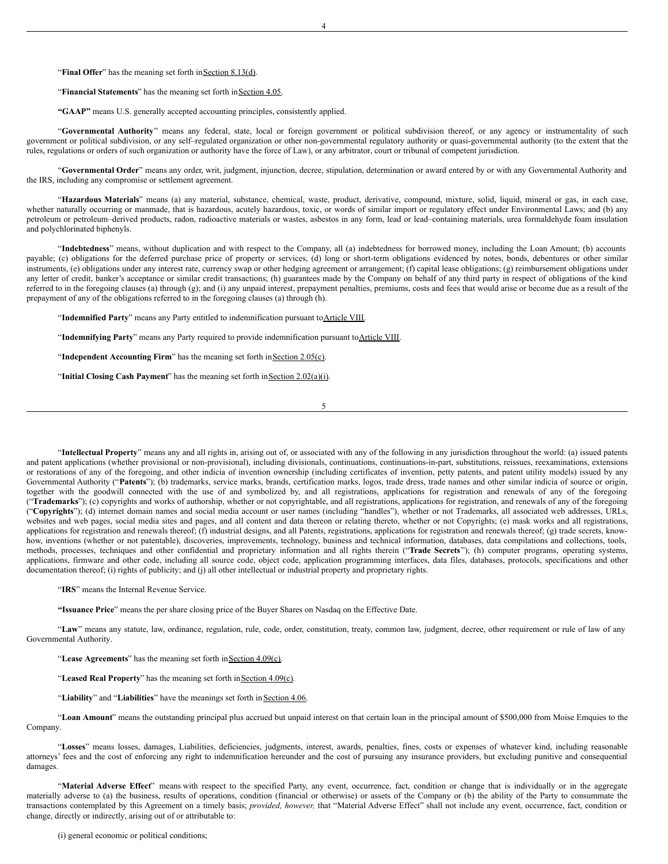"**Final Offer**" has the meaning set forth in Section 8.13(d).

"**Financial Statements**" has the meaning set forth in Section 4.05.

**"GAAP"** means U.S. generally accepted accounting principles, consistently applied.

"**Governmental Authority**" means any federal, state, local or foreign government or political subdivision thereof, or any agency or instrumentality of such government or political subdivision, or any self–regulated organization or other non-governmental regulatory authority or quasi-governmental authority (to the extent that the rules, regulations or orders of such organization or authority have the force of Law), or any arbitrator, court or tribunal of competent jurisdiction.

"**Governmental Order**" means any order, writ, judgment, injunction, decree, stipulation, determination or award entered by or with any Governmental Authority and the IRS, including any compromise or settlement agreement.

"**Hazardous Materials**" means (a) any material, substance, chemical, waste, product, derivative, compound, mixture, solid, liquid, mineral or gas, in each case, whether naturally occurring or manmade, that is hazardous, acutely hazardous, toxic, or words of similar import or regulatory effect under Environmental Laws; and (b) any petroleum or petroleum–derived products, radon, radioactive materials or wastes, asbestos in any form, lead or lead–containing materials, urea formaldehyde foam insulation and polychlorinated biphenyls.

"**Indebtedness**" means, without duplication and with respect to the Company, all (a) indebtedness for borrowed money, including the Loan Amount; (b) accounts payable; (c) obligations for the deferred purchase price of property or services, (d) long or short-term obligations evidenced by notes, bonds, debentures or other similar instruments, (e) obligations under any interest rate, currency swap or other hedging agreement or arrangement; (f) capital lease obligations; (g) reimbursement obligations under any letter of credit, banker's acceptance or similar credit transactions; (h) guarantees made by the Company on behalf of any third party in respect of obligations of the kind referred to in the foregoing clauses (a) through (g); and (i) any unpaid interest, prepayment penalties, premiums, costs and fees that would arise or become due as a result of the prepayment of any of the obligations referred to in the foregoing clauses (a) through (h).

"Indemnified Party" means any Party entitled to indemnification pursuant toArticle VIII.

"Indemnifying Party" means any Party required to provide indemnification pursuant toArticle VIII.

"Independent Accounting Firm" has the meaning set forth in Section 2.05(c).

"Initial Closing Cash Payment" has the meaning set forth in Section 2.02(a)(i).

5

"**Intellectual Property**" means any and all rights in, arising out of, or associated with any of the following in any jurisdiction throughout the world: (a) issued patents and patent applications (whether provisional or non-provisional), including divisionals, continuations, continuations-in-part, substitutions, reissues, reexaminations, extensions or restorations of any of the foregoing, and other indicia of invention ownership (including certificates of invention, petty patents, and patent utility models) issued by any Governmental Authority ("Patents"); (b) trademarks, service marks, brands, certification marks, logos, trade dress, trade names and other similar indicia of source or origin, together with the goodwill connected with the use of and symbolized by, and all registrations, applications for registration and renewals of any of the foregoing ("**Trademarks**"); (c) copyrights and works of authorship, whether or not copyrightable, and all registrations, applications for registration, and renewals of any of the foregoing ("**Copyrights**"); (d) internet domain names and social media account or user names (including "handles"), whether or not Trademarks, all associated web addresses, URLs, websites and web pages, social media sites and pages, and all content and data thereon or relating thereto, whether or not Copyrights; (e) mask works and all registrations, applications for registration and renewals thereof; (f) industrial designs, and all Patents, registrations, applications for registration and renewals thereof; (g) trade secrets, knowhow, inventions (whether or not patentable), discoveries, improvements, technology, business and technical information, databases, data compilations and collections, tools, methods, processes, techniques and other confidential and proprietary information and all rights therein ("**Trade Secrets**"); (h) computer programs, operating systems, applications, firmware and other code, including all source code, object code, application programming interfaces, data files, databases, protocols, specifications and other documentation thereof; (i) rights of publicity; and (j) all other intellectual or industrial property and proprietary rights.

"**IRS**" means the Internal Revenue Service.

**"Issuance Price**" means the per share closing price of the Buyer Shares on Nasdaq on the Effective Date.

"**Law**" means any statute, law, ordinance, regulation, rule, code, order, constitution, treaty, common law, judgment, decree, other requirement or rule of law of any Governmental Authority.

"**Lease Agreements**" has the meaning set forth inSection 4.09(c).

"Leased Real Property" has the meaning set forth in Section 4.09(c).

"Liability" and "Liabilities" have the meanings set forth in Section 4.06.

"**Loan Amount**" means the outstanding principal plus accrued but unpaid interest on that certain loan in the principal amount of \$500,000 from Moise Emquies to the Company.

"**Losses**" means losses, damages, Liabilities, deficiencies, judgments, interest, awards, penalties, fines, costs or expenses of whatever kind, including reasonable attorneys' fees and the cost of enforcing any right to indemnification hereunder and the cost of pursuing any insurance providers, but excluding punitive and consequential damages.

"**Material Adverse Effect**" means with respect to the specified Party, any event, occurrence, fact, condition or change that is individually or in the aggregate materially adverse to (a) the business, results of operations, condition (financial or otherwise) or assets of the Company or (b) the ability of the Party to consummate the transactions contemplated by this Agreement on a timely basis; *provided, however,* that "Material Adverse Effect" shall not include any event, occurrence, fact, condition or change, directly or indirectly, arising out of or attributable to: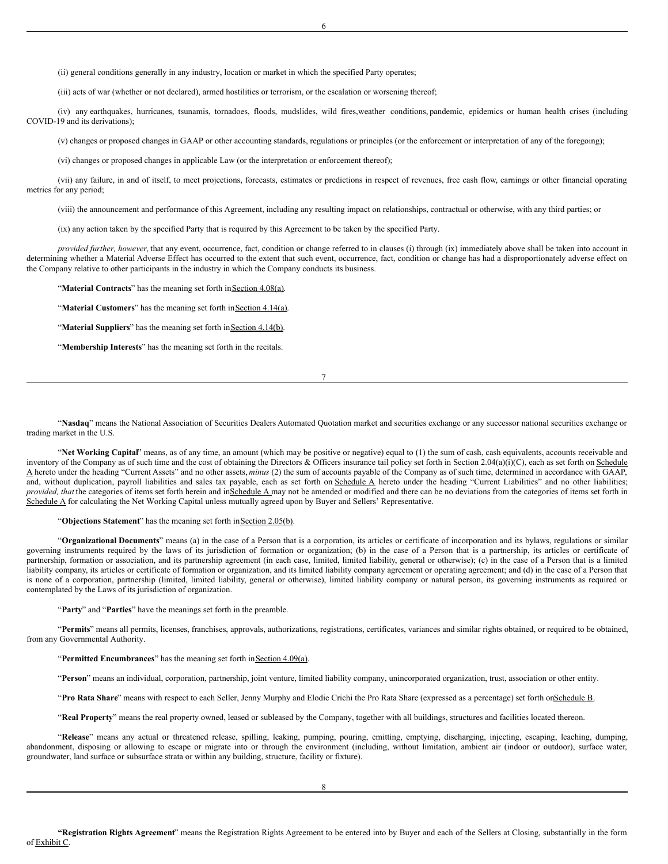6

(ii) general conditions generally in any industry, location or market in which the specified Party operates;

(iii) acts of war (whether or not declared), armed hostilities or terrorism, or the escalation or worsening thereof;

(iv) any earthquakes, hurricanes, tsunamis, tornadoes, floods, mudslides, wild fires,weather conditions, pandemic, epidemics or human health crises (including COVID-19 and its derivations);

(v) changes or proposed changes in GAAP or other accounting standards, regulations or principles (or the enforcement or interpretation of any of the foregoing);

(vi) changes or proposed changes in applicable Law (or the interpretation or enforcement thereof);

(vii) any failure, in and of itself, to meet projections, forecasts, estimates or predictions in respect of revenues, free cash flow, earnings or other financial operating metrics for any period;

(viii) the announcement and performance of this Agreement, including any resulting impact on relationships, contractual or otherwise, with any third parties; or

(ix) any action taken by the specified Party that is required by this Agreement to be taken by the specified Party.

*provided further, however,* that any event, occurrence, fact, condition or change referred to in clauses (i) through (ix) immediately above shall be taken into account in determining whether a Material Adverse Effect has occurred to the extent that such event, occurrence, fact, condition or change has had a disproportionately adverse effect on the Company relative to other participants in the industry in which the Company conducts its business.

"Material Contracts" has the meaning set forth in Section 4.08(a).

"**Material Customers**" has the meaning set forth in Section 4.14(a).

"Material Suppliers" has the meaning set forth in Section 4.14(b).

"**Membership Interests**" has the meaning set forth in the recitals.

7

"**Nasdaq**" means the National Association of Securities Dealers Automated Quotation market and securities exchange or any successor national securities exchange or trading market in the U.S.

"**Net Working Capital**" means, as of any time, an amount (which may be positive or negative) equal to (1) the sum of cash, cash equivalents, accounts receivable and inventory of the Company as of such time and the cost of obtaining the Directors & Officers insurance tail policy set forth in Section 2.04(a)(i)(C), each as set forth on Schedule A hereto under the heading "Current Assets" and no other assets, *minus* (2) the sum of accounts payable of the Company as of such time, determined in accordance with GAAP, and, without duplication, payroll liabilities and sales tax payable, each as set forth on Schedule A hereto under the heading "Current Liabilities" and no other liabilities; *provided, that* the categories of items set forth herein and inSchedule A may not be amended or modified and there can be no deviations from the categories of items set forth in Schedule A for calculating the Net Working Capital unless mutually agreed upon by Buyer and Sellers' Representative.

"**Objections Statement**" has the meaning set forth in Section 2.05(b).

"**Organizational Documents**" means (a) in the case of a Person that is a corporation, its articles or certificate of incorporation and its bylaws, regulations or similar governing instruments required by the laws of its jurisdiction of formation or organization; (b) in the case of a Person that is a partnership, its articles or certificate of partnership, formation or association, and its partnership agreement (in each case, limited, limited liability, general or otherwise); (c) in the case of a Person that is a limited liability company, its articles or certificate of formation or organization, and its limited liability company agreement or operating agreement; and (d) in the case of a Person that is none of a corporation, partnership (limited, limited liability, general or otherwise), limited liability company or natural person, its governing instruments as required or contemplated by the Laws of its jurisdiction of organization.

"**Party**" and "**Parties**" have the meanings set forth in the preamble.

"**Permits**" means all permits, licenses, franchises, approvals, authorizations, registrations, certificates, variances and similar rights obtained, or required to be obtained, from any Governmental Authority.

"Permitted Encumbrances" has the meaning set forth in Section 4.09(a).

"**Person**" means an individual, corporation, partnership, joint venture, limited liability company, unincorporated organization, trust, association or other entity.

"**Pro Rata Share**" means with respect to each Seller, Jenny Murphy and Elodie Crichi the Pro Rata Share (expressed as a percentage) set forth onSchedule B.

"**Real Property**" means the real property owned, leased or subleased by the Company, together with all buildings, structures and facilities located thereon.

"**Release**" means any actual or threatened release, spilling, leaking, pumping, pouring, emitting, emptying, discharging, injecting, escaping, leaching, dumping, abandonment, disposing or allowing to escape or migrate into or through the environment (including, without limitation, ambient air (indoor or outdoor), surface water, groundwater, land surface or subsurface strata or within any building, structure, facility or fixture).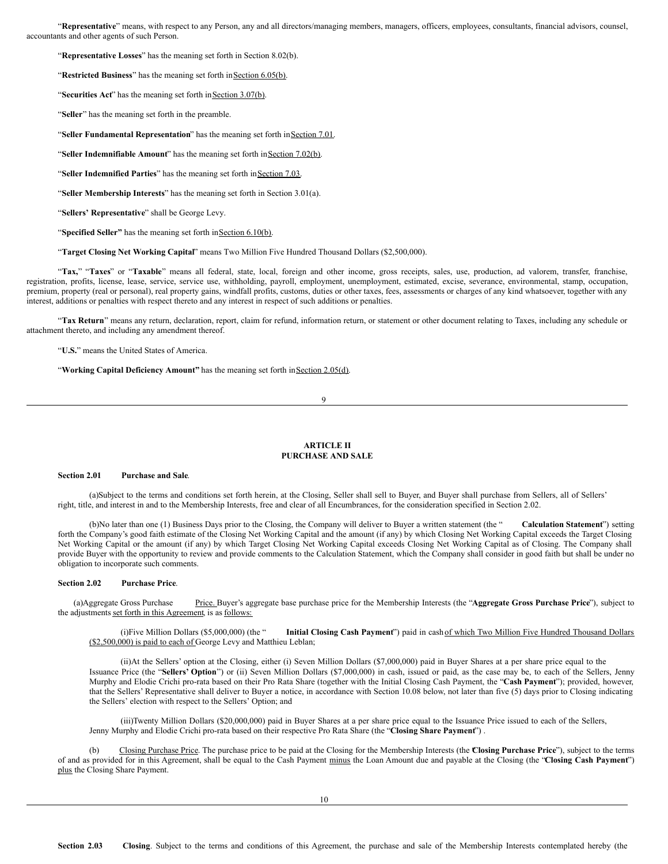"**Representative**" means, with respect to any Person, any and all directors/managing members, managers, officers, employees, consultants, financial advisors, counsel, accountants and other agents of such Person.

"**Representative Losses**" has the meaning set forth in Section 8.02(b).

"**Restricted Business**" has the meaning set forth inSection 6.05(b).

"**Securities Act**" has the meaning set forth in Section 3.07(b).

"**Seller**" has the meaning set forth in the preamble.

"**Seller Fundamental Representation**" has the meaning set forth inSection 7.01.

"Seller Indemnifiable Amount" has the meaning set forth in Section 7.02(b).

"Seller Indemnified Parties" has the meaning set forth in Section 7.03.

"**Seller Membership Interests**" has the meaning set forth in Section 3.01(a).

"**Sellers' Representative**" shall be George Levy.

"**Specified Seller**" has the meaning set forth in Section 6.10(b).

"**Target Closing Net Working Capital**" means Two Million Five Hundred Thousand Dollars (\$2,500,000).

"**Tax,**" "**Taxes**" or "**Taxable**" means all federal, state, local, foreign and other income, gross receipts, sales, use, production, ad valorem, transfer, franchise, registration, profits, license, lease, service, service use, withholding, payroll, employment, unemployment, estimated, excise, severance, environmental, stamp, occupation, premium, property (real or personal), real property gains, windfall profits, customs, duties or other taxes, fees, assessments or charges of any kind whatsoever, together with any interest, additions or penalties with respect thereto and any interest in respect of such additions or penalties.

"**Tax Return**" means any return, declaration, report, claim for refund, information return, or statement or other document relating to Taxes, including any schedule or attachment thereto, and including any amendment thereof.

"**U.S.**" means the United States of America.

"Working Capital Deficiency Amount" has the meaning set forth in Section 2.05(d).

9

#### **ARTICLE II PURCHASE AND SALE**

#### **Section 2.01 Purchase and Sale**.

(a)Subject to the terms and conditions set forth herein, at the Closing, Seller shall sell to Buyer, and Buyer shall purchase from Sellers, all of Sellers' right, title, and interest in and to the Membership Interests, free and clear of all Encumbrances, for the consideration specified in Section 2.02.

(b)No later than one (1) Business Days prior to the Closing, the Company will deliver to Buyer a written statement (the " **Calculation Statement**") setting forth the Company's good faith estimate of the Closing Net Working Capital and the amount (if any) by which Closing Net Working Capital exceeds the Target Closing Net Working Capital or the amount (if any) by which Target Closing Net Working Capital exceeds Closing Net Working Capital as of Closing. The Company shall provide Buyer with the opportunity to review and provide comments to the Calculation Statement, which the Company shall consider in good faith but shall be under no obligation to incorporate such comments.

#### **Section 2.02 Purchase Price**.

(a)Aggregate Gross Purchase Price. Buyer's aggregate base purchase price for the Membership Interests (the "**Aggregate Gross Purchase Price**"), subject to the adjustments set forth in this Agreement, is as follows:

(i)Five Million Dollars (\$5,000,000) (the " **Initial Closing Cash Payment**") paid in cash of which Two Million Five Hundred Thousand Dollars (\$2,500,000) is paid to each of George Levy and Matthieu Leblan;

(ii)At the Sellers' option at the Closing, either (i) Seven Million Dollars (\$7,000,000) paid in Buyer Shares at a per share price equal to the Issuance Price (the "**Sellers' Option**") or (ii) Seven Million Dollars (\$7,000,000) in cash, issued or paid, as the case may be, to each of the Sellers, Jenny Murphy and Elodie Crichi pro-rata based on their Pro Rata Share (together with the Initial Closing Cash Payment, the "**Cash Payment**"); provided, however, that the Sellers' Representative shall deliver to Buyer a notice, in accordance with Section 10.08 below, not later than five (5) days prior to Closing indicating the Sellers' election with respect to the Sellers' Option; and

(iii)Twenty Million Dollars (\$20,000,000) paid in Buyer Shares at a per share price equal to the Issuance Price issued to each of the Sellers, Jenny Murphy and Elodie Crichi pro-rata based on their respective Pro Rata Share (the "**Closing Share Payment**") .

(b) Closing Purchase Price. The purchase price to be paid at the Closing for the Membership Interests (the "**Closing Purchase Price**"), subject to the terms of and as provided for in this Agreement, shall be equal to the Cash Payment minus the Loan Amount due and payable at the Closing (the "**Closing Cash Payment**") plus the Closing Share Payment.

10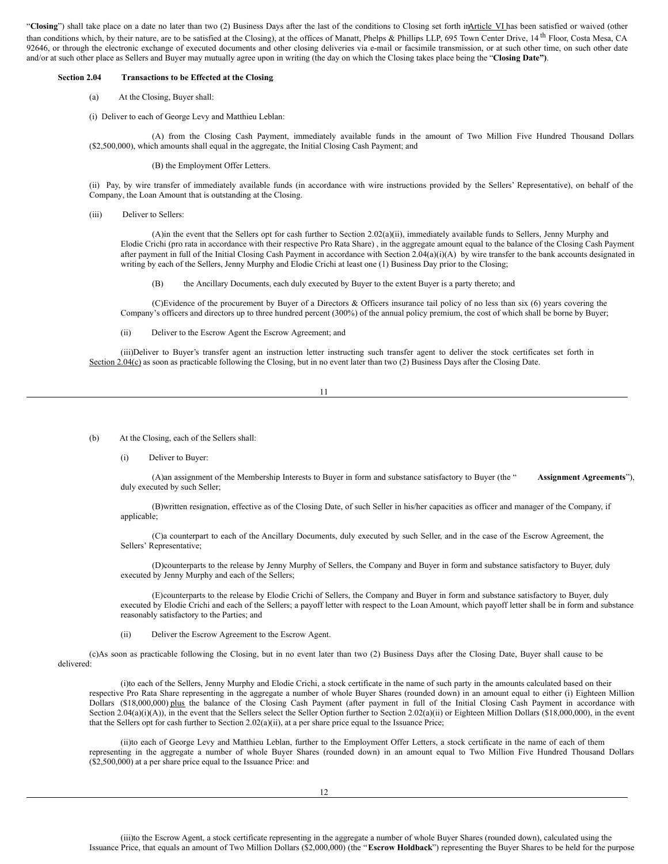"Closing") shall take place on a date no later than two (2) Business Days after the last of the conditions to Closing set forth inArticle VI has been satisfied or waived (other than conditions which, by their nature, are to be satisfied at the Closing), at the offices of Manatt, Phelps & Phillips LLP, 695 Town Center Drive, 14<sup>th</sup> Floor, Costa Mesa, CA 92646, or through the electronic exchange of executed documents and other closing deliveries via e-mail or facsimile transmission, or at such other time, on such other date and/or at such other place as Sellers and Buyer may mutually agree upon in writing (the day on which the Closing takes place being the "**Closing Date")**.

#### **Section 2.04 Transactions to be Effected at the Closing**.

- (a) At the Closing, Buyer shall:
- (i) Deliver to each of George Levy and Matthieu Leblan:

(A) from the Closing Cash Payment, immediately available funds in the amount of Two Million Five Hundred Thousand Dollars (\$2,500,000), which amounts shall equal in the aggregate, the Initial Closing Cash Payment; and

(B) the Employment Offer Letters.

(ii) Pay, by wire transfer of immediately available funds (in accordance with wire instructions provided by the Sellers' Representative), on behalf of the Company, the Loan Amount that is outstanding at the Closing.

(iii) Deliver to Sellers:

(A)in the event that the Sellers opt for cash further to Section 2.02(a)(ii), immediately available funds to Sellers, Jenny Murphy and Elodie Crichi (pro rata in accordance with their respective Pro Rata Share) , in the aggregate amount equal to the balance of the Closing Cash Payment after payment in full of the Initial Closing Cash Payment in accordance with Section  $2.04(a)(i)(A)$  by wire transfer to the bank accounts designated in writing by each of the Sellers, Jenny Murphy and Elodie Crichi at least one (1) Business Day prior to the Closing;

(B) the Ancillary Documents, each duly executed by Buyer to the extent Buyer is a party thereto; and

(C)Evidence of the procurement by Buyer of a Directors & Officers insurance tail policy of no less than six (6) years covering the Company's officers and directors up to three hundred percent (300%) of the annual policy premium, the cost of which shall be borne by Buyer;

(ii) Deliver to the Escrow Agent the Escrow Agreement; and

(iii)Deliver to Buyer's transfer agent an instruction letter instructing such transfer agent to deliver the stock certificates set forth in Section 2.04(c) as soon as practicable following the Closing, but in no event later than two (2) Business Days after the Closing Date.

(b) At the Closing, each of the Sellers shall:

(i) Deliver to Buyer:

(A)an assignment of the Membership Interests to Buyer in form and substance satisfactory to Buyer (the " **Assignment Agreements**"), duly executed by such Seller;

(B)written resignation, effective as of the Closing Date, of such Seller in his/her capacities as officer and manager of the Company, if applicable;

(C)a counterpart to each of the Ancillary Documents, duly executed by such Seller, and in the case of the Escrow Agreement, the Sellers' Representative;

(D)counterparts to the release by Jenny Murphy of Sellers, the Company and Buyer in form and substance satisfactory to Buyer, duly executed by Jenny Murphy and each of the Sellers;

(E)counterparts to the release by Elodie Crichi of Sellers, the Company and Buyer in form and substance satisfactory to Buyer, duly executed by Elodie Crichi and each of the Sellers; a payoff letter with respect to the Loan Amount, which payoff letter shall be in form and substance reasonably satisfactory to the Parties; and

(ii) Deliver the Escrow Agreement to the Escrow Agent.

(c)As soon as practicable following the Closing, but in no event later than two (2) Business Days after the Closing Date, Buyer shall cause to be delivered:

(i)to each of the Sellers, Jenny Murphy and Elodie Crichi, a stock certificate in the name of such party in the amounts calculated based on their respective Pro Rata Share representing in the aggregate a number of whole Buyer Shares (rounded down) in an amount equal to either (i) Eighteen Million Dollars (\$18,000,000) plus the balance of the Closing Cash Payment (after payment in full of the Initial Closing Cash Payment in accordance with Section 2.04(a)(i)(A)), in the event that the Sellers select the Seller Option further to Section 2.02(a)(ii) or Eighteen Million Dollars (\$18,000,000), in the event that the Sellers opt for cash further to Section  $2.02(a)(ii)$ , at a per share price equal to the Issuance Price;

(ii)to each of George Levy and Matthieu Leblan, further to the Employment Offer Letters, a stock certificate in the name of each of them representing in the aggregate a number of whole Buyer Shares (rounded down) in an amount equal to Two Million Five Hundred Thousand Dollars (\$2,500,000) at a per share price equal to the Issuance Price: and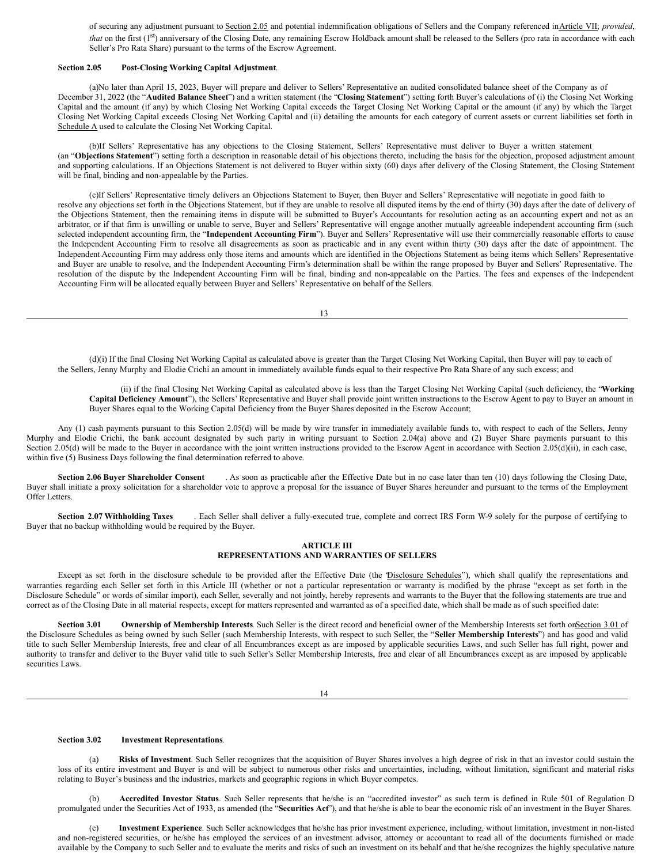of securing any adjustment pursuant to Section 2.05 and potential indemnification obligations of Sellers and the Company referenced inArticle VII; *provided*, *that* on the first (1<sup>st</sup>) anniversary of the Closing Date, any remaining Escrow Holdback amount shall be released to the Sellers (pro rata in accordance with each Seller's Pro Rata Share) pursuant to the terms of the Escrow Agreement.

#### **Section 2.05 Post-Closing Working Capital Adjustment**.

(a)No later than April 15, 2023, Buyer will prepare and deliver to Sellers' Representative an audited consolidated balance sheet of the Company as of December 31, 2022 (the "**Audited Balance Sheet**") and a written statement (the "**Closing Statement**") setting forth Buyer's calculations of (i) the Closing Net Working Capital and the amount (if any) by which Closing Net Working Capital exceeds the Target Closing Net Working Capital or the amount (if any) by which the Target Closing Net Working Capital exceeds Closing Net Working Capital and (ii) detailing the amounts for each category of current assets or current liabilities set forth in Schedule A used to calculate the Closing Net Working Capital.

(b)If Sellers' Representative has any objections to the Closing Statement, Sellers' Representative must deliver to Buyer a written statement (an "**Objections Statement**") setting forth a description in reasonable detail of his objections thereto, including the basis for the objection, proposed adjustment amount and supporting calculations. If an Objections Statement is not delivered to Buyer within sixty (60) days after delivery of the Closing Statement, the Closing Statement will be final, binding and non-appealable by the Parties.

(c)If Sellers' Representative timely delivers an Objections Statement to Buyer, then Buyer and Sellers' Representative will negotiate in good faith to resolve any objections set forth in the Objections Statement, but if they are unable to resolve all disputed items by the end of thirty (30) days after the date of delivery of the Objections Statement, then the remaining items in dispute will be submitted to Buyer's Accountants for resolution acting as an accounting expert and not as an arbitrator, or if that firm is unwilling or unable to serve, Buyer and Sellers' Representative will engage another mutually agreeable independent accounting firm (such selected independent accounting firm, the "**Independent Accounting Firm**"). Buyer and Sellers' Representative will use their commercially reasonable efforts to cause the Independent Accounting Firm to resolve all disagreements as soon as practicable and in any event within thirty (30) days after the date of appointment. The Independent Accounting Firm may address only those items and amounts which are identified in the Objections Statement as being items which Sellers' Representative and Buyer are unable to resolve, and the Independent Accounting Firm's determination shall be within the range proposed by Buyer and Sellers' Representative. The resolution of the dispute by the Independent Accounting Firm will be final, binding and non-appealable on the Parties. The fees and expenses of the Independent Accounting Firm will be allocated equally between Buyer and Sellers' Representative on behalf of the Sellers.

(d)(i) If the final Closing Net Working Capital as calculated above is greater than the Target Closing Net Working Capital, then Buyer will pay to each of the Sellers, Jenny Murphy and Elodie Crichi an amount in immediately available funds equal to their respective Pro Rata Share of any such excess; and

(ii) if the final Closing Net Working Capital as calculated above is less than the Target Closing Net Working Capital (such deficiency, the "**Working Capital Deficiency Amount**"), the Sellers' Representative and Buyer shall provide joint written instructions to the Escrow Agent to pay to Buyer an amount in Buyer Shares equal to the Working Capital Deficiency from the Buyer Shares deposited in the Escrow Account;

Any (1) cash payments pursuant to this Section 2.05(d) will be made by wire transfer in immediately available funds to, with respect to each of the Sellers, Jenny Murphy and Elodie Crichi, the bank account designated by such party in writing pursuant to Section 2.04(a) above and (2) Buyer Share payments pursuant to this Section 2.05(d) will be made to the Buyer in accordance with the joint written instructions provided to the Escrow Agent in accordance with Section 2.05(d)(ii), in each case, within five (5) Business Days following the final determination referred to above.

**Section 2.06 Buyer Shareholder Consent** . As soon as practicable after the Effective Date but in no case later than ten (10) days following the Closing Date, Buyer shall initiate a proxy solicitation for a shareholder vote to approve a proposal for the issuance of Buyer Shares hereunder and pursuant to the terms of the Employment Offer Letters.

**Section 2.07 Withholding Taxes** . Each Seller shall deliver a fully-executed true, complete and correct IRS Form W-9 solely for the purpose of certifying to Buyer that no backup withholding would be required by the Buyer.

#### **ARTICLE III REPRESENTATIONS AND WARRANTIES OF SELLERS**

Except as set forth in the disclosure schedule to be provided after the Effective Date (the Disclosure Schedules"), which shall qualify the representations and warranties regarding each Seller set forth in this Article III (whether or not a particular representation or warranty is modified by the phrase "except as set forth in the Disclosure Schedule" or words of similar import), each Seller, severally and not jointly, hereby represents and warrants to the Buyer that the following statements are true and correct as of the Closing Date in all material respects, except for matters represented and warranted as of a specified date, which shall be made as of such specified date:

**Section 3.01 Ownership of Membership Interests**. Such Seller is the direct record and beneficial owner of the Membership Interests set forth onSection 3.01 of the Disclosure Schedules as being owned by such Seller (such Membership Interests, with respect to such Seller, the "**Seller Membership Interests**") and has good and valid title to such Seller Membership Interests, free and clear of all Encumbrances except as are imposed by applicable securities Laws, and such Seller has full right, power and authority to transfer and deliver to the Buyer valid title to such Seller's Seller Membership Interests, free and clear of all Encumbrances except as are imposed by applicable securities Laws.

14

#### **Section 3.02 Investment Representations**.

(a) **Risks of Investment**. Such Seller recognizes that the acquisition of Buyer Shares involves a high degree of risk in that an investor could sustain the loss of its entire investment and Buyer is and will be subject to numerous other risks and uncertainties, including, without limitation, significant and material risks relating to Buyer's business and the industries, markets and geographic regions in which Buyer competes.

(b) **Accredited Investor Status**. Such Seller represents that he/she is an "accredited investor" as such term is defined in Rule 501 of Regulation D promulgated under the Securities Act of 1933, as amended (the "**Securities Act**"), and that he/she is able to bear the economic risk of an investment in the Buyer Shares.

(c) **Investment Experience**. Such Seller acknowledges that he/she has prior investment experience, including, without limitation, investment in non-listed and non-registered securities, or he/she has employed the services of an investment advisor, attorney or accountant to read all of the documents furnished or made available by the Company to such Seller and to evaluate the merits and risks of such an investment on its behalf and that he/she recognizes the highly speculative nature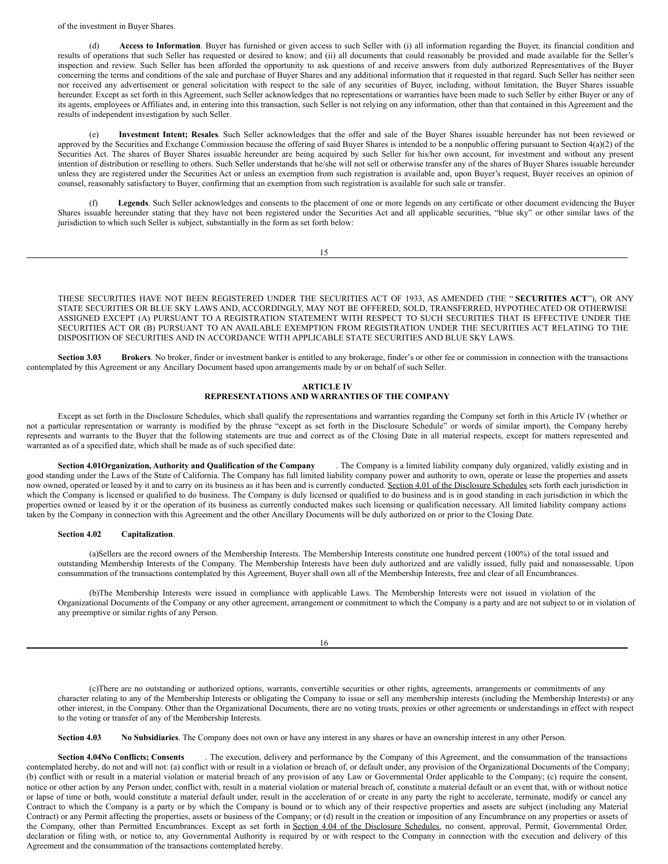of the investment in Buyer Shares.

(d) **Access to Information**. Buyer has furnished or given access to such Seller with (i) all information regarding the Buyer, its financial condition and results of operations that such Seller has requested or desired to know; and (ii) all documents that could reasonably be provided and made available for the Seller's inspection and review. Such Seller has been afforded the opportunity to ask questions of and receive answers from duly authorized Representatives of the Buyer concerning the terms and conditions of the sale and purchase of Buyer Shares and any additional information that it requested in that regard. Such Seller has neither seen nor received any advertisement or general solicitation with respect to the sale of any securities of Buyer, including, without limitation, the Buyer Shares issuable hereunder. Except as set forth in this Agreement, such Seller acknowledges that no representations or warranties have been made to such Seller by either Buyer or any of its agents, employees or Affiliates and, in entering into this transaction, such Seller is not relying on any information, other than that contained in this Agreement and the results of independent investigation by such Seller.

Investment Intent; Resales. Such Seller acknowledges that the offer and sale of the Buyer Shares issuable hereunder has not been reviewed or approved by the Securities and Exchange Commission because the offering of said Buyer Shares is intended to be a nonpublic offering pursuant to Section 4(a)(2) of the Securities Act. The shares of Buyer Shares issuable hereunder are being acquired by such Seller for his/her own account, for investment and without any present intention of distribution or reselling to others. Such Seller understands that he/she will not sell or otherwise transfer any of the shares of Buyer Shares issuable hereunder unless they are registered under the Securities Act or unless an exemption from such registration is available and, upon Buyer's request, Buyer receives an opinion of counsel, reasonably satisfactory to Buyer, confirming that an exemption from such registration is available for such sale or transfer.

(f) **Legends**. Such Seller acknowledges and consents to the placement of one or more legends on any certificate or other document evidencing the Buyer Shares issuable hereunder stating that they have not been registered under the Securities Act and all applicable securities, "blue sky" or other similar laws of the jurisdiction to which such Seller is subject, substantially in the form as set forth below:

15

THESE SECURITIES HAVE NOT BEEN REGISTERED UNDER THE SECURITIES ACT OF 1933, AS AMENDED (THE " **SECURITIES ACT**"), OR ANY STATE SECURITIES OR BLUE SKY LAWS AND, ACCORDINGLY, MAY NOT BE OFFERED, SOLD, TRANSFERRED, HYPOTHECATED OR OTHERWISE ASSIGNED EXCEPT (A) PURSUANT TO A REGISTRATION STATEMENT WITH RESPECT TO SUCH SECURITIES THAT IS EFFECTIVE UNDER THE SECURITIES ACT OR (B) PURSUANT TO AN AVAILABLE EXEMPTION FROM REGISTRATION UNDER THE SECURITIES ACT RELATING TO THE DISPOSITION OF SECURITIES AND IN ACCORDANCE WITH APPLICABLE STATE SECURITIES AND BLUE SKY LAWS.

**Section 3.03 Brokers**. No broker, finder or investment banker is entitled to any brokerage, finder's or other fee or commission in connection with the transactions contemplated by this Agreement or any Ancillary Document based upon arrangements made by or on behalf of such Seller.

#### **ARTICLE IV REPRESENTATIONS AND WARRANTIES OF THE COMPANY**

Except as set forth in the Disclosure Schedules, which shall qualify the representations and warranties regarding the Company set forth in this Article IV (whether or not a particular representation or warranty is modified by the phrase "except as set forth in the Disclosure Schedule" or words of similar import), the Company hereby represents and warrants to the Buyer that the following statements are true and correct as of the Closing Date in all material respects, except for matters represented and warranted as of a specified date, which shall be made as of such specified date:

**Section 4.01Organization, Authority and Qualification of the Company** . The Company is a limited liability company duly organized, validly existing and in good standing under the Laws of the State of California. The Company has full limited liability company power and authority to own, operate or lease the properties and assets now owned, operated or leased by it and to carry on its business as it has been and is currently conducted. Section 4.01 of the Disclosure Schedules sets forth each jurisdiction in which the Company is licensed or qualified to do business. The Company is duly licensed or qualified to do business and is in good standing in each jurisdiction in which the properties owned or leased by it or the operation of its business as currently conducted makes such licensing or qualification necessary. All limited liability company actions taken by the Company in connection with this Agreement and the other Ancillary Documents will be duly authorized on or prior to the Closing Date.

#### **Section 4.02 Capitalization**.

(a)Sellers are the record owners of the Membership Interests. The Membership Interests constitute one hundred percent (100%) of the total issued and outstanding Membership Interests of the Company. The Membership Interests have been duly authorized and are validly issued, fully paid and nonassessable. Upon consummation of the transactions contemplated by this Agreement, Buyer shall own all of the Membership Interests, free and clear of all Encumbrances.

(b)The Membership Interests were issued in compliance with applicable Laws. The Membership Interests were not issued in violation of the Organizational Documents of the Company or any other agreement, arrangement or commitment to which the Company is a party and are not subject to or in violation of any preemptive or similar rights of any Person.

16

(c)There are no outstanding or authorized options, warrants, convertible securities or other rights, agreements, arrangements or commitments of any character relating to any of the Membership Interests or obligating the Company to issue or sell any membership interests (including the Membership Interests) or any other interest, in the Company. Other than the Organizational Documents, there are no voting trusts, proxies or other agreements or understandings in effect with respect to the voting or transfer of any of the Membership Interests.

**Section 4.03 No Subsidiaries**. The Company does not own or have any interest in any shares or have an ownership interest in any other Person.

**Section 4.04No Conflicts; Consents** . The execution, delivery and performance by the Company of this Agreement, and the consummation of the transactions contemplated hereby, do not and will not: (a) conflict with or result in a violation or breach of, or default under, any provision of the Organizational Documents of the Company; (b) conflict with or result in a material violation or material breach of any provision of any Law or Governmental Order applicable to the Company; (c) require the consent, notice or other action by any Person under, conflict with, result in a material violation or material breach of, constitute a material default or an event that, with or without notice or lapse of time or both, would constitute a material default under, result in the acceleration of or create in any party the right to accelerate, terminate, modify or cancel any Contract to which the Company is a party or by which the Company is bound or to which any of their respective properties and assets are subject (including any Material Contract) or any Permit affecting the properties, assets or business of the Company; or (d) result in the creation or imposition of any Encumbrance on any properties or assets of the Company, other than Permitted Encumbrances. Except as set forth in Section 4.04 of the Disclosure Schedules, no consent, approval, Permit, Governmental Order, declaration or filing with, or notice to, any Governmental Authority is required by or with respect to the Company in connection with the execution and delivery of this Agreement and the consummation of the transactions contemplated hereby.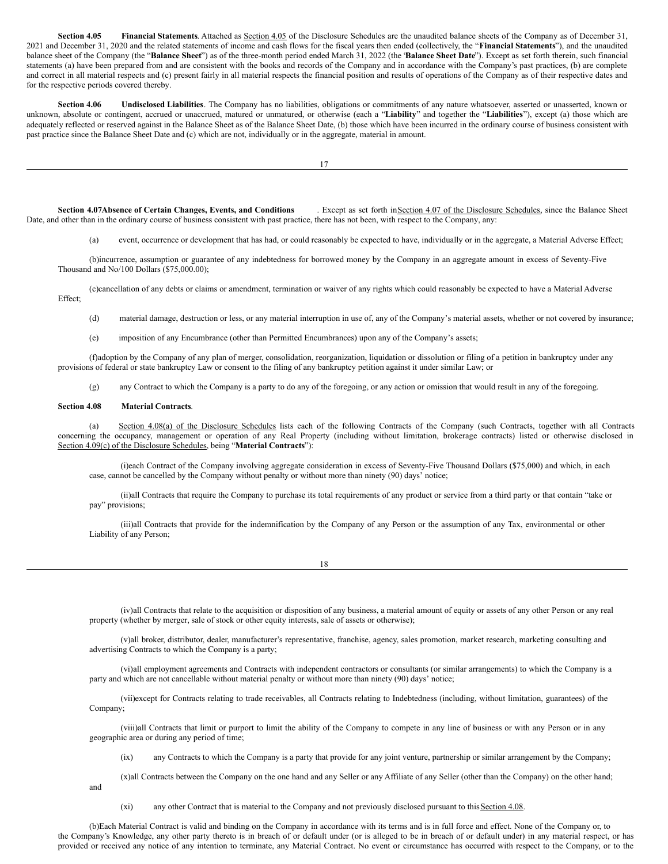**Section 4.05 Financial Statements**. Attached as Section 4.05 of the Disclosure Schedules are the unaudited balance sheets of the Company as of December 31, 2021 and December 31, 2020 and the related statements of income and cash flows for the fiscal years then ended (collectively, the "**Financial Statements**"), and the unaudited balance sheet of the Company (the "**Balance Sheet**") as of the three-month period ended March 31, 2022 (the "**Balance Sheet Date**"). Except as set forth therein, such financial statements (a) have been prepared from and are consistent with the books and records of the Company and in accordance with the Company's past practices, (b) are complete and correct in all material respects and (c) present fairly in all material respects the financial position and results of operations of the Company as of their respective dates and for the respective periods covered thereby.

**Section 4.06 Undisclosed Liabilities**. The Company has no liabilities, obligations or commitments of any nature whatsoever, asserted or unasserted, known or unknown, absolute or contingent, accrued or unaccrued, matured or unmatured, or otherwise (each a "**Liability**" and together the "**Liabilities**"), except (a) those which are adequately reflected or reserved against in the Balance Sheet as of the Balance Sheet Date, (b) those which have been incurred in the ordinary course of business consistent with past practice since the Balance Sheet Date and (c) which are not, individually or in the aggregate, material in amount.

**Section 4.07Absence of Certain Changes, Events, and Conditions . Except as set forth in Section 4.07 of the Disclosure Schedules, since the Balance Sheet** Date, and other than in the ordinary course of business consistent with past practice, there has not been, with respect to the Company, any:

(a) event, occurrence or development that has had, or could reasonably be expected to have, individually or in the aggregate, a Material Adverse Effect;

(b)incurrence, assumption or guarantee of any indebtedness for borrowed money by the Company in an aggregate amount in excess of Seventy-Five Thousand and No/100 Dollars (\$75,000.00);

(c)cancellation of any debts or claims or amendment, termination or waiver of any rights which could reasonably be expected to have a Material Adverse Effect;

(d) material damage, destruction or less, or any material interruption in use of, any of the Company's material assets, whether or not covered by insurance;

(e) imposition of any Encumbrance (other than Permitted Encumbrances) upon any of the Company's assets;

(f)adoption by the Company of any plan of merger, consolidation, reorganization, liquidation or dissolution or filing of a petition in bankruptcy under any provisions of federal or state bankruptcy Law or consent to the filing of any bankruptcy petition against it under similar Law; or

(g) any Contract to which the Company is a party to do any of the foregoing, or any action or omission that would result in any of the foregoing.

#### **Section 4.08 Material Contracts**.

(a) Section 4.08(a) of the Disclosure Schedules lists each of the following Contracts of the Company (such Contracts, together with all Contracts concerning the occupancy, management or operation of any Real Property (including without limitation, brokerage contracts) listed or otherwise disclosed in Section 4.09(c) of the Disclosure Schedules, being "**Material Contracts**"):

(i)each Contract of the Company involving aggregate consideration in excess of Seventy-Five Thousand Dollars (\$75,000) and which, in each case, cannot be cancelled by the Company without penalty or without more than ninety (90) days' notice;

(ii)all Contracts that require the Company to purchase its total requirements of any product or service from a third party or that contain "take or pay" provisions;

(iii)all Contracts that provide for the indemnification by the Company of any Person or the assumption of any Tax, environmental or other Liability of any Person;

18

(iv)all Contracts that relate to the acquisition or disposition of any business, a material amount of equity or assets of any other Person or any real property (whether by merger, sale of stock or other equity interests, sale of assets or otherwise);

(v)all broker, distributor, dealer, manufacturer's representative, franchise, agency, sales promotion, market research, marketing consulting and advertising Contracts to which the Company is a party;

(vi)all employment agreements and Contracts with independent contractors or consultants (or similar arrangements) to which the Company is a party and which are not cancellable without material penalty or without more than ninety (90) days' notice;

(vii)except for Contracts relating to trade receivables, all Contracts relating to Indebtedness (including, without limitation, guarantees) of the Company;

(viii)all Contracts that limit or purport to limit the ability of the Company to compete in any line of business or with any Person or in any geographic area or during any period of time;

(ix) any Contracts to which the Company is a party that provide for any joint venture, partnership or similar arrangement by the Company;

(x)all Contracts between the Company on the one hand and any Seller or any Affiliate of any Seller (other than the Company) on the other hand; and

(xi) any other Contract that is material to the Company and not previously disclosed pursuant to thisSection 4.08.

(b)Each Material Contract is valid and binding on the Company in accordance with its terms and is in full force and effect. None of the Company or, to the Company's Knowledge, any other party thereto is in breach of or default under (or is alleged to be in breach of or default under) in any material respect, or has provided or received any notice of any intention to terminate, any Material Contract. No event or circumstance has occurred with respect to the Company, or to the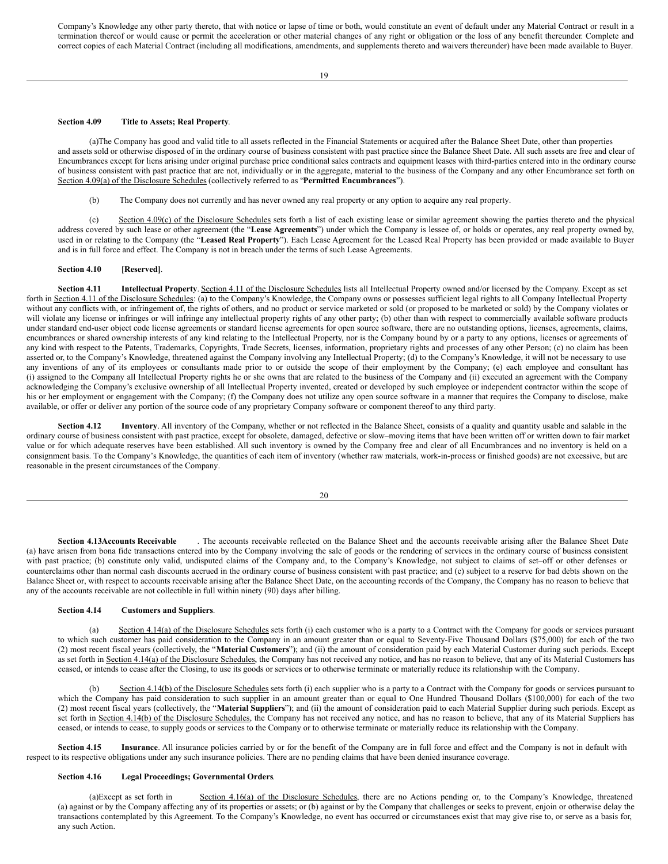<span id="page-14-0"></span>Company's Knowledge any other party thereto, that with notice or lapse of time or both, would constitute an event of default under any Material Contract or result in a termination thereof or would cause or permit the acceleration or other material changes of any right or obligation or the loss of any benefit thereunder. Complete and correct copies of each Material Contract (including all modifications, amendments, and supplements thereto and waivers thereunder) have been made available to Buyer.

#### **Section 4.09 Title to Assets; Real Property**.

(a)The Company has good and valid title to all assets reflected in the Financial Statements or acquired after the Balance Sheet Date, other than properties and assets sold or otherwise disposed of in the ordinary course of business consistent with past practice since the Balance Sheet Date. All such assets are free and clear of Encumbrances except for liens arising under original purchase price conditional sales contracts and equipment leases with third-parties entered into in the ordinary course of business consistent with past practice that are not, individually or in the aggregate, material to the business of the Company and any other Encumbrance set forth on Section 4.09(a) of the Disclosure Schedules (collectively referred to as "**Permitted Encumbrances**").

(b) The Company does not currently and has never owned any real property or any option to acquire any real property.

(c) Section 4.09(c) of the Disclosure Schedules sets forth a list of each existing lease or similar agreement showing the parties thereto and the physical address covered by such lease or other agreement (the "**Lease Agreements**") under which the Company is lessee of, or holds or operates, any real property owned by, used in or relating to the Company (the "**Leased Real Property**"). Each Lease Agreement for the Leased Real Property has been provided or made available to Buyer and is in full force and effect. The Company is not in breach under the terms of such Lease Agreements.

#### **Section 4.10 [Reserved]**.

**Section 4.11 Intellectual Property**. Section 4.11 of the Disclosure Schedules lists all Intellectual Property owned and/or licensed by the Company. Except as set forth in Section 4.11 of the Disclosure Schedules: (a) to the Company's Knowledge, the Company owns or possesses sufficient legal rights to all Company Intellectual Property without any conflicts with, or infringement of, the rights of others, and no product or service marketed or sold (or proposed to be marketed or sold) by the Company violates or will violate any license or infringes or will infringe any intellectual property rights of any other party; (b) other than with respect to commercially available software products under standard end-user object code license agreements or standard license agreements for open source software, there are no outstanding options, licenses, agreements, claims, encumbrances or shared ownership interests of any kind relating to the Intellectual Property, nor is the Company bound by or a party to any options, licenses or agreements of any kind with respect to the Patents, Trademarks, Copyrights, Trade Secrets, licenses, information, proprietary rights and processes of any other Person; (c) no claim has been asserted or, to the Company's Knowledge, threatened against the Company involving any Intellectual Property; (d) to the Company's Knowledge, it will not be necessary to use any inventions of any of its employees or consultants made prior to or outside the scope of their employment by the Company; (e) each employee and consultant has (i) assigned to the Company all Intellectual Property rights he or she owns that are related to the business of the Company and (ii) executed an agreement with the Company acknowledging the Company's exclusive ownership of all Intellectual Property invented, created or developed by such employee or independent contractor within the scope of his or her employment or engagement with the Company; (f) the Company does not utilize any open source software in a manner that requires the Company to disclose, make available, or offer or deliver any portion of the source code of any proprietary Company software or component thereof to any third party.

**Section 4.12 Inventory**. All inventory of the Company, whether or not reflected in the Balance Sheet, consists of a quality and quantity usable and salable in the ordinary course of business consistent with past practice, except for obsolete, damaged, defective or slow–moving items that have been written off or written down to fair market value or for which adequate reserves have been established. All such inventory is owned by the Company free and clear of all Encumbrances and no inventory is held on a consignment basis. To the Company's Knowledge, the quantities of each item of inventory (whether raw materials, work-in-process or finished goods) are not excessive, but are reasonable in the present circumstances of the Company.

| ł | I           |
|---|-------------|
| I | ٦<br>×<br>I |

**Section 4.13Accounts Receivable** . The accounts receivable reflected on the Balance Sheet and the accounts receivable arising after the Balance Sheet Date (a) have arisen from bona fide transactions entered into by the Company involving the sale of goods or the rendering of services in the ordinary course of business consistent with past practice; (b) constitute only valid, undisputed claims of the Company and, to the Company's Knowledge, not subject to claims of set-off or other defenses or counterclaims other than normal cash discounts accrued in the ordinary course of business consistent with past practice; and (c) subject to a reserve for bad debts shown on the Balance Sheet or, with respect to accounts receivable arising after the Balance Sheet Date, on the accounting records of the Company, the Company has no reason to believe that any of the accounts receivable are not collectible in full within ninety (90) days after billing.

#### **Section 4.14 Customers and Suppliers**.

(a) Section 4.14(a) of the Disclosure Schedules sets forth (i) each customer who is a party to a Contract with the Company for goods or services pursuant to which such customer has paid consideration to the Company in an amount greater than or equal to Seventy-Five Thousand Dollars (\$75,000) for each of the two (2) most recent fiscal years (collectively, the "**Material Customers**"); and (ii) the amount of consideration paid by each Material Customer during such periods. Except as set forth in Section 4.14(a) of the Disclosure Schedules, the Company has not received any notice, and has no reason to believe, that any of its Material Customers has ceased, or intends to cease after the Closing, to use its goods or services or to otherwise terminate or materially reduce its relationship with the Company.

Section 4.14(b) of the Disclosure Schedules sets forth (i) each supplier who is a party to a Contract with the Company for goods or services pursuant to which the Company has paid consideration to such supplier in an amount greater than or equal to One Hundred Thousand Dollars (\$100,000) for each of the two (2) most recent fiscal years (collectively, the "**Material Suppliers**"); and (ii) the amount of consideration paid to each Material Supplier during such periods. Except as set forth in Section 4.14(b) of the Disclosure Schedules, the Company has not received any notice, and has no reason to believe, that any of its Material Suppliers has ceased, or intends to cease, to supply goods or services to the Company or to otherwise terminate or materially reduce its relationship with the Company.

Section 4.15 **Insurance**. All insurance policies carried by or for the benefit of the Company are in full force and effect and the Company is not in default with respect to its respective obligations under any such insurance policies. There are no pending claims that have been denied insurance coverage.

#### **Section 4.16 Legal Proceedings; Governmental Orders**.

(a)Except as set forth in Section 4.16(a) of the Disclosure Schedules, there are no Actions pending or, to the Company's Knowledge, threatened (a) against or by the Company affecting any of its properties or assets; or (b) against or by the Company that challenges or seeks to prevent, enjoin or otherwise delay the transactions contemplated by this Agreement. To the Company's Knowledge, no event has occurred or circumstances exist that may give rise to, or serve as a basis for, any such Action.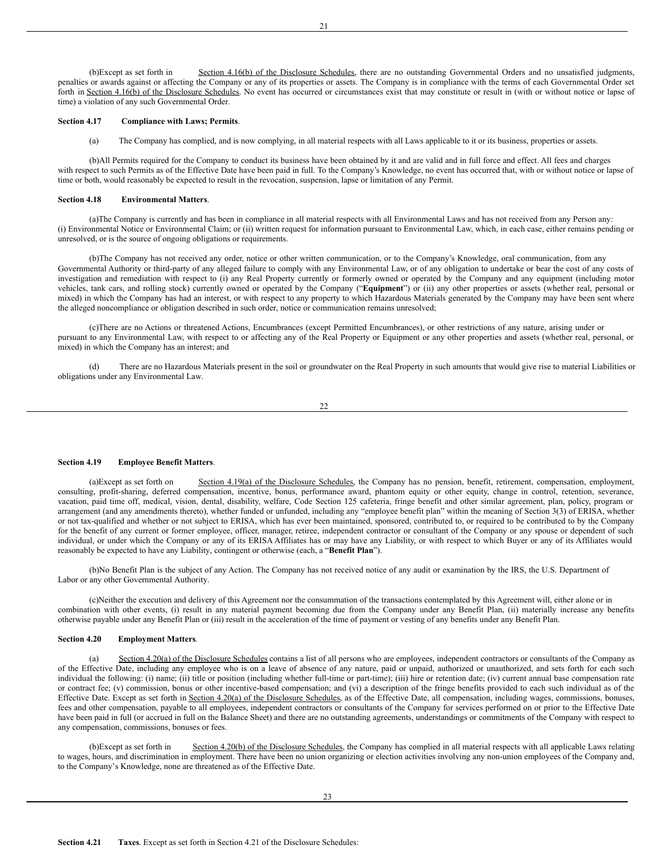(b)Except as set forth in Section 4.16(b) of the Disclosure Schedules, there are no outstanding Governmental Orders and no unsatisfied judgments, penalties or awards against or affecting the Company or any of its properties or assets. The Company is in compliance with the terms of each Governmental Order set forth in Section 4.16(b) of the Disclosure Schedules. No event has occurred or circumstances exist that may constitute or result in (with or without notice or lapse of time) a violation of any such Governmental Order.

#### **Section 4.17 Compliance with Laws; Permits**.

(a) The Company has complied, and is now complying, in all material respects with all Laws applicable to it or its business, properties or assets.

(b)All Permits required for the Company to conduct its business have been obtained by it and are valid and in full force and effect. All fees and charges with respect to such Permits as of the Effective Date have been paid in full. To the Company's Knowledge, no event has occurred that, with or without notice or lapse of time or both, would reasonably be expected to result in the revocation, suspension, lapse or limitation of any Permit.

#### **Section 4.18 Environmental Matters**.

(a)The Company is currently and has been in compliance in all material respects with all Environmental Laws and has not received from any Person any: (i) Environmental Notice or Environmental Claim; or (ii) written request for information pursuant to Environmental Law, which, in each case, either remains pending or unresolved, or is the source of ongoing obligations or requirements.

(b)The Company has not received any order, notice or other written communication, or to the Company's Knowledge, oral communication, from any Governmental Authority or third-party of any alleged failure to comply with any Environmental Law, or of any obligation to undertake or bear the cost of any costs of investigation and remediation with respect to (i) any Real Property currently or formerly owned or operated by the Company and any equipment (including motor vehicles, tank cars, and rolling stock) currently owned or operated by the Company ("**Equipment**") or (ii) any other properties or assets (whether real, personal or mixed) in which the Company has had an interest, or with respect to any property to which Hazardous Materials generated by the Company may have been sent where the alleged noncompliance or obligation described in such order, notice or communication remains unresolved;

(c)There are no Actions or threatened Actions, Encumbrances (except Permitted Encumbrances), or other restrictions of any nature, arising under or pursuant to any Environmental Law, with respect to or affecting any of the Real Property or Equipment or any other properties and assets (whether real, personal, or mixed) in which the Company has an interest; and

(d) There are no Hazardous Materials present in the soil or groundwater on the Real Property in such amounts that would give rise to material Liabilities or obligations under any Environmental Law.

22

#### **Section 4.19 Employee Benefit Matters**.

(a)Except as set forth on Section 4.19(a) of the Disclosure Schedules, the Company has no pension, benefit, retirement, compensation, employment, consulting, profit-sharing, deferred compensation, incentive, bonus, performance award, phantom equity or other equity, change in control, retention, severance, vacation, paid time off, medical, vision, dental, disability, welfare, Code Section 125 cafeteria, fringe benefit and other similar agreement, plan, policy, program or arrangement (and any amendments thereto), whether funded or unfunded, including any "employee benefit plan" within the meaning of Section 3(3) of ERISA, whether or not tax-qualified and whether or not subject to ERISA, which has ever been maintained, sponsored, contributed to, or required to be contributed to by the Company for the benefit of any current or former employee, officer, manager, retiree, independent contractor or consultant of the Company or any spouse or dependent of such individual, or under which the Company or any of its ERISA Affiliates has or may have any Liability, or with respect to which Buyer or any of its Affiliates would reasonably be expected to have any Liability, contingent or otherwise (each, a "**Benefit Plan**").

(b)No Benefit Plan is the subject of any Action. The Company has not received notice of any audit or examination by the IRS, the U.S. Department of Labor or any other Governmental Authority.

(c)Neither the execution and delivery of this Agreement nor the consummation of the transactions contemplated by this Agreement will, either alone or in combination with other events, (i) result in any material payment becoming due from the Company under any Benefit Plan, (ii) materially increase any benefits otherwise payable under any Benefit Plan or (iii) result in the acceleration of the time of payment or vesting of any benefits under any Benefit Plan.

#### **Section 4.20 Employment Matters**.

(a) Section 4.20(a) of the Disclosure Schedules contains a list of all persons who are employees, independent contractors or consultants of the Company as of the Effective Date, including any employee who is on a leave of absence of any nature, paid or unpaid, authorized or unauthorized, and sets forth for each such individual the following: (i) name; (ii) title or position (including whether full-time or part-time); (iii) hire or retention date; (iv) current annual base compensation rate or contract fee; (v) commission, bonus or other incentive-based compensation; and (vi) a description of the fringe benefits provided to each such individual as of the Effective Date. Except as set forth in Section 4.20(a) of the Disclosure Schedules, as of the Effective Date, all compensation, including wages, commissions, bonuses, fees and other compensation, payable to all employees, independent contractors or consultants of the Company for services performed on or prior to the Effective Date have been paid in full (or accrued in full on the Balance Sheet) and there are no outstanding agreements, understandings or commitments of the Company with respect to any compensation, commissions, bonuses or fees.

(b)Except as set forth in Section 4.20(b) of the Disclosure Schedules, the Company has complied in all material respects with all applicable Laws relating to wages, hours, and discrimination in employment. There have been no union organizing or election activities involving any non-union employees of the Company and, to the Company's Knowledge, none are threatened as of the Effective Date.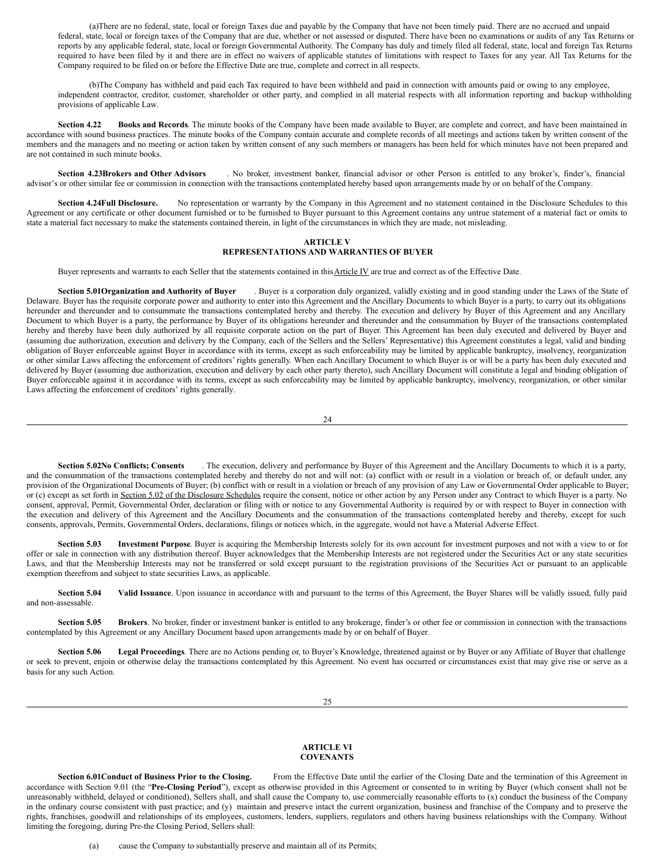(a)There are no federal, state, local or foreign Taxes due and payable by the Company that have not been timely paid. There are no accrued and unpaid federal, state, local or foreign taxes of the Company that are due, whether or not assessed or disputed. There have been no examinations or audits of any Tax Returns or reports by any applicable federal, state, local or foreign Governmental Authority. The Company has duly and timely filed all federal, state, local and foreign Tax Returns required to have been filed by it and there are in effect no waivers of applicable statutes of limitations with respect to Taxes for any year. All Tax Returns for the Company required to be filed on or before the Effective Date are true, complete and correct in all respects.

(b)The Company has withheld and paid each Tax required to have been withheld and paid in connection with amounts paid or owing to any employee, independent contractor, creditor, customer, shareholder or other party, and complied in all material respects with all information reporting and backup withholding provisions of applicable Law.

**Section 4.22 Books and Records**. The minute books of the Company have been made available to Buyer, are complete and correct, and have been maintained in accordance with sound business practices. The minute books of the Company contain accurate and complete records of all meetings and actions taken by written consent of the members and the managers and no meeting or action taken by written consent of any such members or managers has been held for which minutes have not been prepared and are not contained in such minute books.

**Section 4.23Brokers and Other Advisors** . No broker, investment banker, financial advisor or other Person is entitled to any broker's, finder's, financial advisor's or other similar fee or commission in connection with the transactions contemplated hereby based upon arrangements made by or on behalf of the Company.

**Section 4.24Full Disclosure.** No representation or warranty by the Company in this Agreement and no statement contained in the Disclosure Schedules to this Agreement or any certificate or other document furnished or to be furnished to Buyer pursuant to this Agreement contains any untrue statement of a material fact or omits to state a material fact necessary to make the statements contained therein, in light of the circumstances in which they are made, not misleading.

#### **ARTICLE V REPRESENTATIONS AND WARRANTIES OF BUYER**

Buyer represents and warrants to each Seller that the statements contained in this **Article IV** are true and correct as of the Effective Date.

**Section 5.01Organization and Authority of Buyer** . Buyer is a corporation duly organized, validly existing and in good standing under the Laws of the State of Delaware. Buyer has the requisite corporate power and authority to enter into this Agreement and the Ancillary Documents to which Buyer is a party, to carry out its obligations hereunder and thereunder and to consummate the transactions contemplated hereby and thereby. The execution and delivery by Buyer of this Agreement and any Ancillary Document to which Buyer is a party, the performance by Buyer of its obligations hereunder and thereunder and the consummation by Buyer of the transactions contemplated hereby and thereby have been duly authorized by all requisite corporate action on the part of Buyer. This Agreement has been duly executed and delivered by Buyer and (assuming due authorization, execution and delivery by the Company, each of the Sellers and the Sellers' Representative) this Agreement constitutes a legal, valid and binding obligation of Buyer enforceable against Buyer in accordance with its terms, except as such enforceability may be limited by applicable bankruptcy, insolvency, reorganization or other similar Laws affecting the enforcement of creditors' rights generally. When each Ancillary Document to which Buyer is or will be a party has been duly executed and delivered by Buyer (assuming due authorization, execution and delivery by each other party thereto), such Ancillary Document will constitute a legal and binding obligation of Buyer enforceable against it in accordance with its terms, except as such enforceability may be limited by applicable bankruptcy, insolvency, reorganization, or other similar Laws affecting the enforcement of creditors' rights generally.

$$
24\quad
$$

**Section 5.02No Conflicts; Consents** . The execution, delivery and performance by Buyer of this Agreement and the Ancillary Documents to which it is a party, and the consummation of the transactions contemplated hereby and thereby do not and will not: (a) conflict with or result in a violation or breach of, or default under, any provision of the Organizational Documents of Buyer; (b) conflict with or result in a violation or breach of any provision of any Law or Governmental Order applicable to Buyer; or (c) except as set forth in Section 5.02 of the Disclosure Schedules require the consent, notice or other action by any Person under any Contract to which Buyer is a party. No consent, approval, Permit, Governmental Order, declaration or filing with or notice to any Governmental Authority is required by or with respect to Buyer in connection with the execution and delivery of this Agreement and the Ancillary Documents and the consummation of the transactions contemplated hereby and thereby, except for such consents, approvals, Permits, Governmental Orders, declarations, filings or notices which, in the aggregate, would not have a Material Adverse Effect.

**Section 5.03 Investment Purpose**. Buyer is acquiring the Membership Interests solely for its own account for investment purposes and not with a view to or for offer or sale in connection with any distribution thereof. Buyer acknowledges that the Membership Interests are not registered under the Securities Act or any state securities Laws, and that the Membership Interests may not be transferred or sold except pursuant to the registration provisions of the Securities Act or pursuant to an applicable exemption therefrom and subject to state securities Laws, as applicable.

Section **5.04** Valid Issuance. Upon issuance in accordance with and pursuant to the terms of this Agreement, the Buyer Shares will be validly issued, fully paid and non-assessable.

**Section 5.05 Brokers**. No broker, finder or investment banker is entitled to any brokerage, finder's or other fee or commission in connection with the transactions contemplated by this Agreement or any Ancillary Document based upon arrangements made by or on behalf of Buyer.

**Section 5.06 Legal Proceedings**. There are no Actions pending or, to Buyer's Knowledge, threatened against or by Buyer or any Affiliate of Buyer that challenge or seek to prevent, enjoin or otherwise delay the transactions contemplated by this Agreement. No event has occurred or circumstances exist that may give rise or serve as a basis for any such Action.

#### **ARTICLE VI COVENANTS**

**Section 6.01Conduct of Business Prior to the Closing.** From the Effective Date until the earlier of the Closing Date and the termination of this Agreement in accordance with Section 9.01 (the "**Pre-Closing Period**"), except as otherwise provided in this Agreement or consented to in writing by Buyer (which consent shall not be unreasonably withheld, delayed or conditioned), Sellers shall, and shall cause the Company to, use commercially reasonable efforts to (x) conduct the business of the Company in the ordinary course consistent with past practice; and (y) maintain and preserve intact the current organization, business and franchise of the Company and to preserve the rights, franchises, goodwill and relationships of its employees, customers, lenders, suppliers, regulators and others having business relationships with the Company. Without limiting the foregoing, during Pre-the Closing Period, Sellers shall: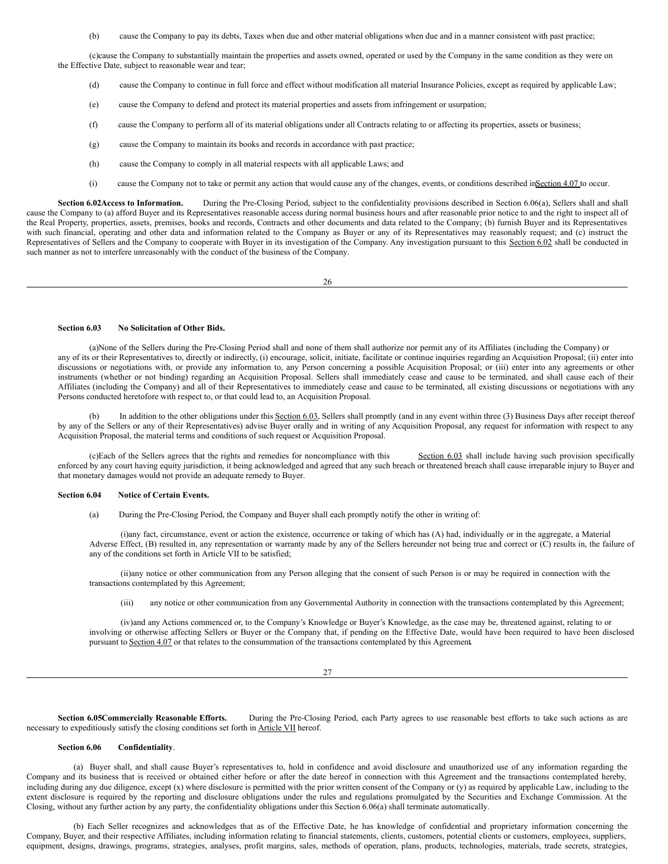(b) cause the Company to pay its debts, Taxes when due and other material obligations when due and in a manner consistent with past practice;

(c)cause the Company to substantially maintain the properties and assets owned, operated or used by the Company in the same condition as they were on the Effective Date, subject to reasonable wear and tear;

- (d) cause the Company to continue in full force and effect without modification all material Insurance Policies, except as required by applicable Law;
- (e) cause the Company to defend and protect its material properties and assets from infringement or usurpation;
- (f) cause the Company to perform all of its material obligations under all Contracts relating to or affecting its properties, assets or business;
- (g) cause the Company to maintain its books and records in accordance with past practice;
- (h) cause the Company to comply in all material respects with all applicable Laws; and
- (i) cause the Company not to take or permit any action that would cause any of the changes, events, or conditions described inSection 4.07 to occur.

**Section 6.02Access to Information.** During the Pre-Closing Period, subject to the confidentiality provisions described in Section 6.06(a), Sellers shall and shall cause the Company to (a) afford Buyer and its Representatives reasonable access during normal business hours and after reasonable prior notice to and the right to inspect all of the Real Property, properties, assets, premises, books and records, Contracts and other documents and data related to the Company; (b) furnish Buyer and its Representatives with such financial, operating and other data and information related to the Company as Buyer or any of its Representatives may reasonably request; and (c) instruct the Representatives of Sellers and the Company to cooperate with Buyer in its investigation of the Company. Any investigation pursuant to this Section 6.02 shall be conducted in such manner as not to interfere unreasonably with the conduct of the business of the Company.

26

#### **Section 6.03 No Solicitation of Other Bids.**

(a)None of the Sellers during the Pre-Closing Period shall and none of them shall authorize nor permit any of its Affiliates (including the Company) or any of its or their Representatives to, directly or indirectly, (i) encourage, solicit, initiate, facilitate or continue inquiries regarding an Acquisition Proposal; (ii) enter into discussions or negotiations with, or provide any information to, any Person concerning a possible Acquisition Proposal; or (iii) enter into any agreements or other instruments (whether or not binding) regarding an Acquisition Proposal. Sellers shall immediately cease and cause to be terminated, and shall cause each of their Affiliates (including the Company) and all of their Representatives to immediately cease and cause to be terminated, all existing discussions or negotiations with any Persons conducted heretofore with respect to, or that could lead to, an Acquisition Proposal.

(b) In addition to the other obligations under this Section 6.03, Sellers shall promptly (and in any event within three (3) Business Days after receipt thereof by any of the Sellers or any of their Representatives) advise Buyer orally and in writing of any Acquisition Proposal, any request for information with respect to any Acquisition Proposal, the material terms and conditions of such request or Acquisition Proposal.

(c)Each of the Sellers agrees that the rights and remedies for noncompliance with this Section 6.03 shall include having such provision specifically enforced by any court having equity jurisdiction, it being acknowledged and agreed that any such breach or threatened breach shall cause irreparable injury to Buyer and that monetary damages would not provide an adequate remedy to Buyer.

#### **Section 6.04 Notice of Certain Events.**

(a) During the Pre-Closing Period, the Company and Buyer shall each promptly notify the other in writing of:

(i)any fact, circumstance, event or action the existence, occurrence or taking of which has (A) had, individually or in the aggregate, a Material Adverse Effect, (B) resulted in, any representation or warranty made by any of the Sellers hereunder not being true and correct or (C) results in, the failure of any of the conditions set forth in Article VII to be satisfied;

(ii)any notice or other communication from any Person alleging that the consent of such Person is or may be required in connection with the transactions contemplated by this Agreement;

(iii) any notice or other communication from any Governmental Authority in connection with the transactions contemplated by this Agreement;

(iv)and any Actions commenced or, to the Company's Knowledge or Buyer's Knowledge, as the case may be, threatened against, relating to or involving or otherwise affecting Sellers or Buyer or the Company that, if pending on the Effective Date, would have been required to have been disclosed pursuant to Section 4.07 or that relates to the consummation of the transactions contemplated by this Agreement**.**

27

**Section 6.05Commercially Reasonable Efforts.** During the Pre-Closing Period, each Party agrees to use reasonable best efforts to take such actions as are necessary to expeditiously satisfy the closing conditions set forth in Article VII hereof.

#### **Section 6.06 Confidentiality**.

(a) Buyer shall, and shall cause Buyer's representatives to, hold in confidence and avoid disclosure and unauthorized use of any information regarding the Company and its business that is received or obtained either before or after the date hereof in connection with this Agreement and the transactions contemplated hereby, including during any due diligence, except (x) where disclosure is permitted with the prior written consent of the Company or (y) as required by applicable Law, including to the extent disclosure is required by the reporting and disclosure obligations under the rules and regulations promulgated by the Securities and Exchange Commission. At the Closing, without any further action by any party, the confidentiality obligations under this Section 6.06(a) shall terminate automatically.

(b) Each Seller recognizes and acknowledges that as of the Effective Date, he has knowledge of confidential and proprietary information concerning the Company, Buyer, and their respective Affiliates, including information relating to financial statements, clients, customers, potential clients or customers, employees, suppliers, equipment, designs, drawings, programs, strategies, analyses, profit margins, sales, methods of operation, plans, products, technologies, materials, trade secrets, strategies,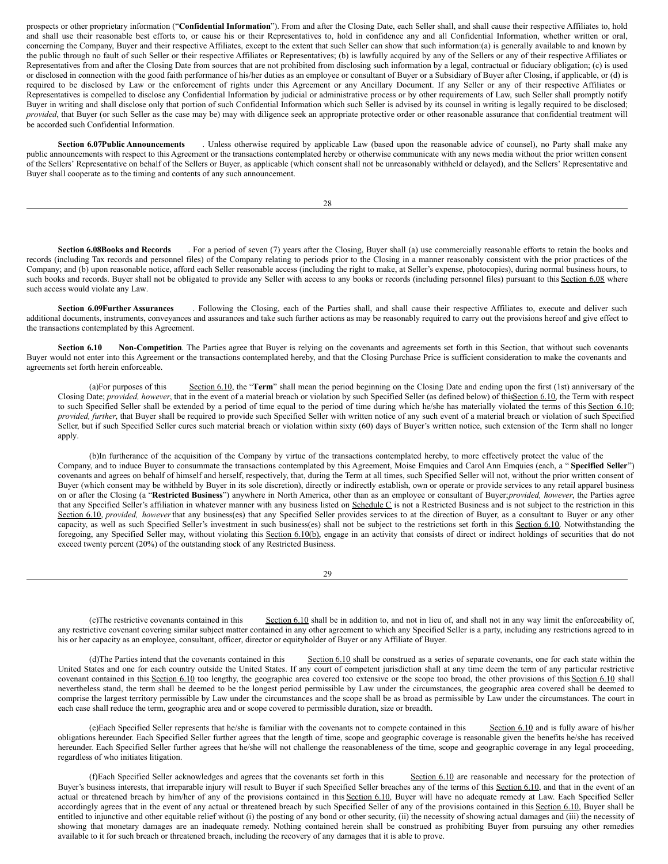prospects or other proprietary information ("**Confidential Information**"). From and after the Closing Date, each Seller shall, and shall cause their respective Affiliates to, hold and shall use their reasonable best efforts to, or cause his or their Representatives to, hold in confidence any and all Confidential Information, whether written or oral, concerning the Company, Buyer and their respective Affiliates, except to the extent that such Seller can show that such information:(a) is generally available to and known by the public through no fault of such Seller or their respective Affiliates or Representatives; (b) is lawfully acquired by any of the Sellers or any of their respective Affiliates or Representatives from and after the Closing Date from sources that are not prohibited from disclosing such information by a legal, contractual or fiduciary obligation; (c) is used or disclosed in connection with the good faith performance of his/her duties as an employee or consultant of Buyer or a Subsidiary of Buyer after Closing, if applicable, or (d) is required to be disclosed by Law or the enforcement of rights under this Agreement or any Ancillary Document. If any Seller or any of their respective Affiliates or Representatives is compelled to disclose any Confidential Information by judicial or administrative process or by other requirements of Law, such Seller shall promptly notify Buyer in writing and shall disclose only that portion of such Confidential Information which such Seller is advised by its counsel in writing is legally required to be disclosed; *provided*, that Buyer (or such Seller as the case may be) may with diligence seek an appropriate protective order or other reasonable assurance that confidential treatment will be accorded such Confidential Information.

**Section 6.07Public Announcements** . Unless otherwise required by applicable Law (based upon the reasonable advice of counsel), no Party shall make any public announcements with respect to this Agreement or the transactions contemplated hereby or otherwise communicate with any news media without the prior written consent of the Sellers' Representative on behalf of the Sellers or Buyer, as applicable (which consent shall not be unreasonably withheld or delayed), and the Sellers' Representative and Buyer shall cooperate as to the timing and contents of any such announcement.

Section **6.08Books and Records** . For a period of seven (7) years after the Closing, Buyer shall (a) use commercially reasonable efforts to retain the books and records (including Tax records and personnel files) of the Company relating to periods prior to the Closing in a manner reasonably consistent with the prior practices of the Company; and (b) upon reasonable notice, afford each Seller reasonable access (including the right to make, at Seller's expense, photocopies), during normal business hours, to such books and records. Buyer shall not be obligated to provide any Seller with access to any books or records (including personnel files) pursuant to this Section 6.08 where such access would violate any Law.

**Section 6.09Further Assurances** . Following the Closing, each of the Parties shall, and shall cause their respective Affiliates to, execute and deliver such additional documents, instruments, conveyances and assurances and take such further actions as may be reasonably required to carry out the provisions hereof and give effect to the transactions contemplated by this Agreement.

**Section 6.10 Non-Competition**. The Parties agree that Buyer is relying on the covenants and agreements set forth in this Section, that without such covenants Buyer would not enter into this Agreement or the transactions contemplated hereby, and that the Closing Purchase Price is sufficient consideration to make the covenants and agreements set forth herein enforceable.

(a)For purposes of this Section 6.10, the "**Term**" shall mean the period beginning on the Closing Date and ending upon the first (1st) anniversary of the Closing Date; *provided, however*, that in the event of a material breach or violation by such Specified Seller (as defined below) of this section 6.10, the Term with respect to such Specified Seller shall be extended by a period of time equal to the period of time during which he/she has materially violated the terms of this Section 6.10; *provided, further*, that Buyer shall be required to provide such Specified Seller with written notice of any such event of a material breach or violation of such Specified Seller, but if such Specified Seller cures such material breach or violation within sixty (60) days of Buyer's written notice, such extension of the Term shall no longer apply.

(b)In furtherance of the acquisition of the Company by virtue of the transactions contemplated hereby, to more effectively protect the value of the Company, and to induce Buyer to consummate the transactions contemplated by this Agreement, Moise Emquies and Carol Ann Emquies (each, a " **Specified Seller**") covenants and agrees on behalf of himself and herself, respectively, that, during the Term at all times, such Specified Seller will not, without the prior written consent of Buyer (which consent may be withheld by Buyer in its sole discretion), directly or indirectly establish, own or operate or provide services to any retail apparel business on or after the Closing (a "**Restricted Business**") anywhere in North America, other than as an employee or consultant of Buyer;*provided, however*, the Parties agree that any Specified Seller's affiliation in whatever manner with any business listed on Schedule C is not a Restricted Business and is not subject to the restriction in this Section 6.10, *provided, however* that any business(es) that any Specified Seller provides services to at the direction of Buyer, as a consultant to Buyer or any other capacity, as well as such Specified Seller's investment in such business(es) shall not be subject to the restrictions set forth in this Section 6.10. Notwithstanding the foregoing, any Specified Seller may, without violating this Section 6.10(b), engage in an activity that consists of direct or indirect holdings of securities that do not exceed twenty percent (20%) of the outstanding stock of any Restricted Business.

29

(c)The restrictive covenants contained in this Section 6.10 shall be in addition to, and not in lieu of, and shall not in any way limit the enforceability of, any restrictive covenant covering similar subject matter contained in any other agreement to which any Specified Seller is a party, including any restrictions agreed to in his or her capacity as an employee, consultant, officer, director or equityholder of Buyer or any Affiliate of Buyer.

(d)The Parties intend that the covenants contained in this Section 6.10 shall be construed as a series of separate covenants, one for each state within the United States and one for each country outside the United States. If any court of competent jurisdiction shall at any time deem the term of any particular restrictive covenant contained in this Section 6.10 too lengthy, the geographic area covered too extensive or the scope too broad, the other provisions of this Section 6.10 shall nevertheless stand, the term shall be deemed to be the longest period permissible by Law under the circumstances, the geographic area covered shall be deemed to comprise the largest territory permissible by Law under the circumstances and the scope shall be as broad as permissible by Law under the circumstances. The court in each case shall reduce the term, geographic area and or scope covered to permissible duration, size or breadth.

(e)Each Specified Seller represents that he/she is familiar with the covenants not to compete contained in this Section 6.10 and is fully aware of his/her obligations hereunder. Each Specified Seller further agrees that the length of time, scope and geographic coverage is reasonable given the benefits he/she has received hereunder. Each Specified Seller further agrees that he/she will not challenge the reasonableness of the time, scope and geographic coverage in any legal proceeding, regardless of who initiates litigation.

(f)Each Specified Seller acknowledges and agrees that the covenants set forth in this Section 6.10 are reasonable and necessary for the protection of Buyer's business interests, that irreparable injury will result to Buyer if such Specified Seller breaches any of the terms of this Section 6.10, and that in the event of an actual or threatened breach by him/her of any of the provisions contained in this Section 6.10, Buyer will have no adequate remedy at Law. Each Specified Seller accordingly agrees that in the event of any actual or threatened breach by such Specified Seller of any of the provisions contained in this Section 6.10, Buyer shall be entitled to injunctive and other equitable relief without (i) the posting of any bond or other security, (ii) the necessity of showing actual damages and (iii) the necessity of showing that monetary damages are an inadequate remedy. Nothing contained herein shall be construed as prohibiting Buyer from pursuing any other remedies available to it for such breach or threatened breach, including the recovery of any damages that it is able to prove.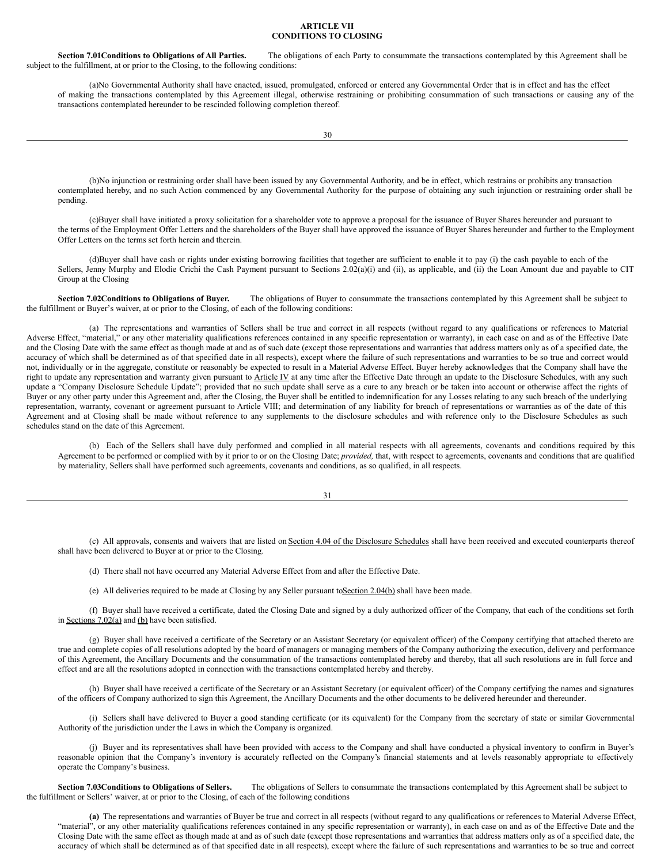#### **ARTICLE VII CONDITIONS TO CLOSING**

**Section 7.01Conditions to Obligations of All Parties.** The obligations of each Party to consummate the transactions contemplated by this Agreement shall be subject to the fulfillment, at or prior to the Closing, to the following conditions:

(a)No Governmental Authority shall have enacted, issued, promulgated, enforced or entered any Governmental Order that is in effect and has the effect of making the transactions contemplated by this Agreement illegal, otherwise restraining or prohibiting consummation of such transactions or causing any of the transactions contemplated hereunder to be rescinded following completion thereof.

(b)No injunction or restraining order shall have been issued by any Governmental Authority, and be in effect, which restrains or prohibits any transaction contemplated hereby, and no such Action commenced by any Governmental Authority for the purpose of obtaining any such injunction or restraining order shall be pending.

(c)Buyer shall have initiated a proxy solicitation for a shareholder vote to approve a proposal for the issuance of Buyer Shares hereunder and pursuant to the terms of the Employment Offer Letters and the shareholders of the Buyer shall have approved the issuance of Buyer Shares hereunder and further to the Employment Offer Letters on the terms set forth herein and therein.

(d)Buyer shall have cash or rights under existing borrowing facilities that together are sufficient to enable it to pay (i) the cash payable to each of the Sellers, Jenny Murphy and Elodie Crichi the Cash Payment pursuant to Sections 2.02(a)(i) and (ii), as applicable, and (ii) the Loan Amount due and payable to CIT Group at the Closing

**Section 7.02Conditions to Obligations of Buyer.** The obligations of Buyer to consummate the transactions contemplated by this Agreement shall be subject to the fulfillment or Buyer's waiver, at or prior to the Closing, of each of the following conditions:

(a) The representations and warranties of Sellers shall be true and correct in all respects (without regard to any qualifications or references to Material Adverse Effect, "material," or any other materiality qualifications references contained in any specific representation or warranty), in each case on and as of the Effective Date and the Closing Date with the same effect as though made at and as of such date (except those representations and warranties that address matters only as of a specified date, the accuracy of which shall be determined as of that specified date in all respects), except where the failure of such representations and warranties to be so true and correct would not, individually or in the aggregate, constitute or reasonably be expected to result in a Material Adverse Effect. Buyer hereby acknowledges that the Company shall have the right to update any representation and warranty given pursuant to Article IV at any time after the Effective Date through an update to the Disclosure Schedules, with any such update a "Company Disclosure Schedule Update"; provided that no such update shall serve as a cure to any breach or be taken into account or otherwise affect the rights of Buyer or any other party under this Agreement and, after the Closing, the Buyer shall be entitled to indemnification for any Losses relating to any such breach of the underlying representation, warranty, covenant or agreement pursuant to Article VIII; and determination of any liability for breach of representations or warranties as of the date of this Agreement and at Closing shall be made without reference to any supplements to the disclosure schedules and with reference only to the Disclosure Schedules as such schedules stand on the date of this Agreement.

(b) Each of the Sellers shall have duly performed and complied in all material respects with all agreements, covenants and conditions required by this Agreement to be performed or complied with by it prior to or on the Closing Date; *provided,* that, with respect to agreements, covenants and conditions that are qualified by materiality, Sellers shall have performed such agreements, covenants and conditions, as so qualified, in all respects.

31

(c) All approvals, consents and waivers that are listed on Section 4.04 of the Disclosure Schedules shall have been received and executed counterparts thereof shall have been delivered to Buyer at or prior to the Closing.

(d) There shall not have occurred any Material Adverse Effect from and after the Effective Date.

(e) All deliveries required to be made at Closing by any Seller pursuant toSection 2.04(b) shall have been made.

(f) Buyer shall have received a certificate, dated the Closing Date and signed by a duly authorized officer of the Company, that each of the conditions set forth in Sections  $7.02(a)$  and (b) have been satisfied.

(g) Buyer shall have received a certificate of the Secretary or an Assistant Secretary (or equivalent officer) of the Company certifying that attached thereto are true and complete copies of all resolutions adopted by the board of managers or managing members of the Company authorizing the execution, delivery and performance of this Agreement, the Ancillary Documents and the consummation of the transactions contemplated hereby and thereby, that all such resolutions are in full force and effect and are all the resolutions adopted in connection with the transactions contemplated hereby and thereby.

(h) Buyer shall have received a certificate of the Secretary or an Assistant Secretary (or equivalent officer) of the Company certifying the names and signatures of the officers of Company authorized to sign this Agreement, the Ancillary Documents and the other documents to be delivered hereunder and thereunder.

(i) Sellers shall have delivered to Buyer a good standing certificate (or its equivalent) for the Company from the secretary of state or similar Governmental Authority of the jurisdiction under the Laws in which the Company is organized.

(j) Buyer and its representatives shall have been provided with access to the Company and shall have conducted a physical inventory to confirm in Buyer's reasonable opinion that the Company's inventory is accurately reflected on the Company's financial statements and at levels reasonably appropriate to effectively operate the Company's business.

**Section 7.03Conditions to Obligations of Sellers.** The obligations of Sellers to consummate the transactions contemplated by this Agreement shall be subject to the fulfillment or Sellers' waiver, at or prior to the Closing, of each of the following conditions

**(a)** The representations and warranties of Buyer be true and correct in all respects (without regard to any qualifications or references to Material Adverse Effect, "material", or any other materiality qualifications references contained in any specific representation or warranty), in each case on and as of the Effective Date and the Closing Date with the same effect as though made at and as of such date (except those representations and warranties that address matters only as of a specified date, the accuracy of which shall be determined as of that specified date in all respects), except where the failure of such representations and warranties to be so true and correct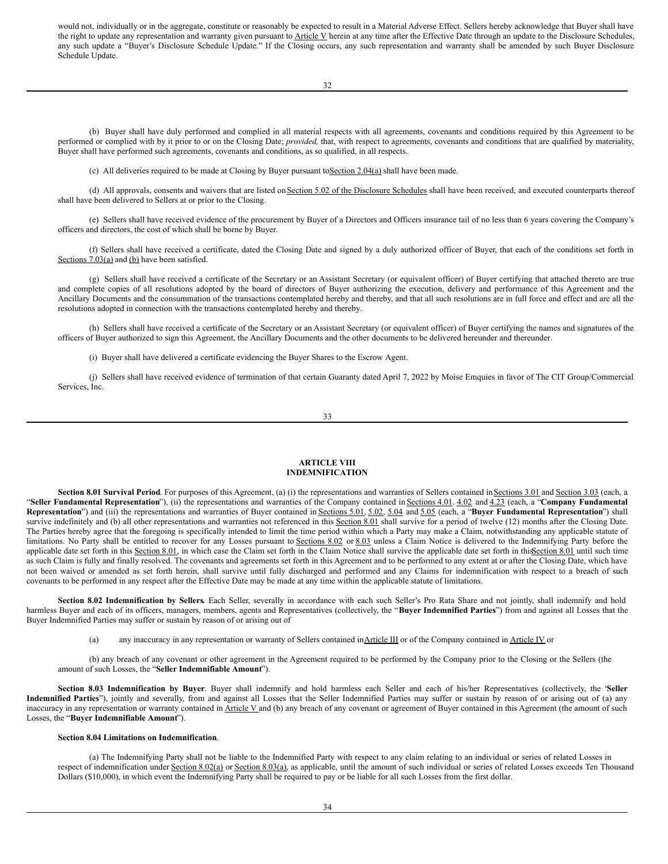would not, individually or in the aggregate, constitute or reasonably be expected to result in a Material Adverse Effect. Sellers hereby acknowledge that Buyer shall have the right to update any representation and warranty given pursuant to Article V herein at any time after the Effective Date through an update to the Disclosure Schedules, any such update a "Buyer's Disclosure Schedule Update." If the Closing occurs, any such representation and warranty shall be amended by such Buyer Disclosure Schedule Update.

(b) Buyer shall have duly performed and complied in all material respects with all agreements, covenants and conditions required by this Agreement to be performed or complied with by it prior to or on the Closing Date; *provided,* that, with respect to agreements, covenants and conditions that are qualified by materiality, Buyer shall have performed such agreements, covenants and conditions, as so qualified, in all respects.

(c) All deliveries required to be made at Closing by Buyer pursuant toSection 2.04(a) shall have been made.

(d) All approvals, consents and waivers that are listed on Section 5.02 of the Disclosure Schedules shall have been received, and executed counterparts thereof shall have been delivered to Sellers at or prior to the Closing.

(e) Sellers shall have received evidence of the procurement by Buyer of a Directors and Officers insurance tail of no less than 6 years covering the Company's officers and directors, the cost of which shall be borne by Buyer.

(f) Sellers shall have received a certificate, dated the Closing Date and signed by a duly authorized officer of Buyer, that each of the conditions set forth in Sections  $7.03(a)$  and (b) have been satisfied.

(g) Sellers shall have received a certificate of the Secretary or an Assistant Secretary (or equivalent officer) of Buyer certifying that attached thereto are true and complete copies of all resolutions adopted by the board of directors of Buyer authorizing the execution, delivery and performance of this Agreement and the Ancillary Documents and the consummation of the transactions contemplated hereby and thereby, and that all such resolutions are in full force and effect and are all the resolutions adopted in connection with the transactions contemplated hereby and thereby.

(h) Sellers shall have received a certificate of the Secretary or an Assistant Secretary (or equivalent officer) of Buyer certifying the names and signatures of the officers of Buyer authorized to sign this Agreement, the Ancillary Documents and the other documents to be delivered hereunder and thereunder.

(i) Buyer shall have delivered a certificate evidencing the Buyer Shares to the Escrow Agent.

(j) Sellers shall have received evidence of termination of that certain Guaranty dated April 7, 2022 by Moise Emquies in favor of The CIT Group/Commercial Services, Inc.

33

#### **ARTICLE VIII INDEMNIFICATION**

Section 8.01 Survival Period. For purposes of this Agreement, (a) (i) the representations and warranties of Sellers contained in Sections 3.01 and Section 3.03 (each, a "**Seller Fundamental Representation**"), (ii) the representations and warranties of the Company contained in Sections 4.01. 4.02 and 4.23 (each, a "**Company Fundamental Representation**") and (iii) the representations and warranties of Buyer contained in Sections 5.01, 5.02, 5.04 and 5.05 (each, a "**Buyer Fundamental Representation**") shall survive indefinitely and (b) all other representations and warranties not referenced in this Section 8.01 shall survive for a period of twelve (12) months after the Closing Date. The Parties hereby agree that the foregoing is specifically intended to limit the time period within which a Party may make a Claim, notwithstanding any applicable statute of limitations. No Party shall be entitled to recover for any Losses pursuant to Sections 8.02 or 8.03 unless a Claim Notice is delivered to the Indemnifying Party before the applicable date set forth in this Section 8.01, in which case the Claim set forth in the Claim Notice shall survive the applicable date set forth in this ection 8.01 until such time as such Claim is fully and finally resolved. The covenants and agreements set forth in this Agreement and to be performed to any extent at or after the Closing Date, which have not been waived or amended as set forth herein, shall survive until fully discharged and performed and any Claims for indemnification with respect to a breach of such covenants to be performed in any respect after the Effective Date may be made at any time within the applicable statute of limitations.

**Section 8.02 Indemnification by Sellers***.* Each Seller, severally in accordance with each such Seller's Pro Rata Share and not jointly, shall indemnify and hold harmless Buyer and each of its officers, managers, members, agents and Representatives (collectively, the "**Buyer Indemnified Parties**") from and against all Losses that the Buyer Indemnified Parties may suffer or sustain by reason of or arising out of

(a) any inaccuracy in any representation or warranty of Sellers contained inArticle III or of the Company contained in Article IV or

(b) any breach of any covenant or other agreement in the Agreement required to be performed by the Company prior to the Closing or the Sellers (the amount of such Losses, the "**Seller Indemnifiable Amount**").

**Section 8.03 Indemnification by Buyer**. Buyer shall indemnify and hold harmless each Seller and each of his/her Representatives (collectively, the "**Seller Indemnified Parties**"), jointly and severally, from and against all Losses that the Seller Indemnified Parties may suffer or sustain by reason of or arising out of (a) any inaccuracy in any representation or warranty contained in Article V and (b) any breach of any covenant or agreement of Buyer contained in this Agreement (the amount of such Losses, the "**Buyer Indemnifiable Amount**").

#### **Section 8.04 Limitations on Indemnification**.

(a) The Indemnifying Party shall not be liable to the Indemnified Party with respect to any claim relating to an individual or series of related Losses in respect of indemnification under Section 8.02(a) or Section 8.03(a), as applicable, until the amount of such individual or series of related Losses exceeds Ten Thousand Dollars (\$10,000), in which event the Indemnifying Party shall be required to pay or be liable for all such Losses from the first dollar.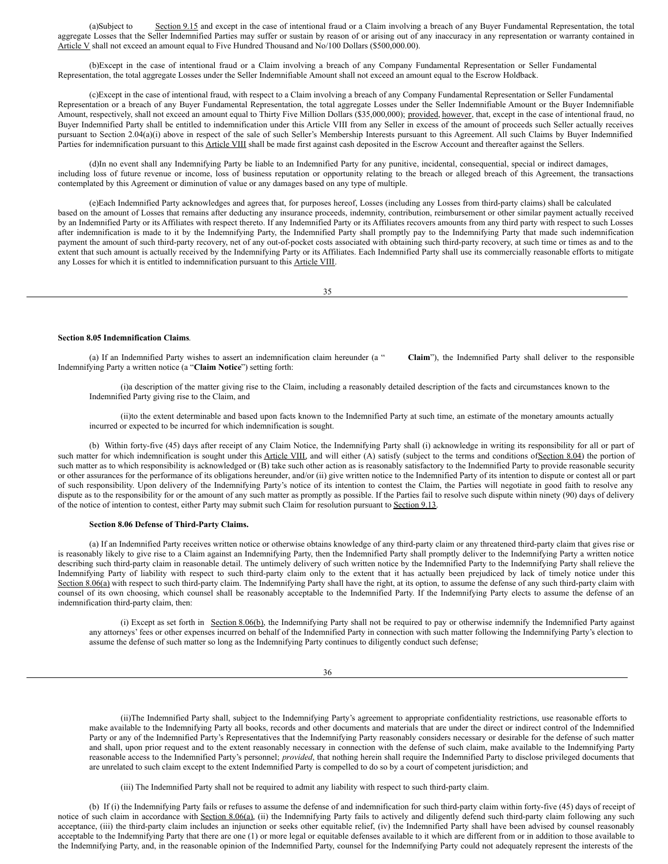(a)Subject to Section 9.15 and except in the case of intentional fraud or a Claim involving a breach of any Buyer Fundamental Representation, the total aggregate Losses that the Seller Indemnified Parties may suffer or sustain by reason of or arising out of any inaccuracy in any representation or warranty contained in Article V shall not exceed an amount equal to Five Hundred Thousand and No/100 Dollars (\$500,000.00).

(b)Except in the case of intentional fraud or a Claim involving a breach of any Company Fundamental Representation or Seller Fundamental Representation, the total aggregate Losses under the Seller Indemnifiable Amount shall not exceed an amount equal to the Escrow Holdback.

(c)Except in the case of intentional fraud, with respect to a Claim involving a breach of any Company Fundamental Representation or Seller Fundamental Representation or a breach of any Buyer Fundamental Representation, the total aggregate Losses under the Seller Indemnifiable Amount or the Buyer Indemnifiable Amount, respectively, shall not exceed an amount equal to Thirty Five Million Dollars (\$35,000,000); provided, however, that, except in the case of intentional fraud, no Buyer Indemnified Party shall be entitled to indemnification under this Article VIII from any Seller in excess of the amount of proceeds such Seller actually receives pursuant to Section 2.04(a)(i) above in respect of the sale of such Seller's Membership Interests pursuant to this Agreement. All such Claims by Buyer Indemnified Parties for indemnification pursuant to this Article VIII shall be made first against cash deposited in the Escrow Account and thereafter against the Sellers.

(d)In no event shall any Indemnifying Party be liable to an Indemnified Party for any punitive, incidental, consequential, special or indirect damages, including loss of future revenue or income, loss of business reputation or opportunity relating to the breach or alleged breach of this Agreement, the transactions contemplated by this Agreement or diminution of value or any damages based on any type of multiple.

(e)Each Indemnified Party acknowledges and agrees that, for purposes hereof, Losses (including any Losses from third-party claims) shall be calculated based on the amount of Losses that remains after deducting any insurance proceeds, indemnity, contribution, reimbursement or other similar payment actually received by an Indemnified Party or its Affiliates with respect thereto. If any Indemnified Party or its Affiliates recovers amounts from any third party with respect to such Losses after indemnification is made to it by the Indemnifying Party, the Indemnified Party shall promptly pay to the Indemnifying Party that made such indemnification payment the amount of such third-party recovery, net of any out-of-pocket costs associated with obtaining such third-party recovery, at such time or times as and to the extent that such amount is actually received by the Indemnifying Party or its Affiliates. Each Indemnified Party shall use its commercially reasonable efforts to mitigate any Losses for which it is entitled to indemnification pursuant to this Article VIII.

35

#### **Section 8.05 Indemnification Claims**.

(a) If an Indemnified Party wishes to assert an indemnification claim hereunder (a " **Claim**"), the Indemnified Party shall deliver to the responsible Indemnifying Party a written notice (a "**Claim Notice**") setting forth:

(i)a description of the matter giving rise to the Claim, including a reasonably detailed description of the facts and circumstances known to the Indemnified Party giving rise to the Claim, and

(ii)to the extent determinable and based upon facts known to the Indemnified Party at such time, an estimate of the monetary amounts actually incurred or expected to be incurred for which indemnification is sought.

(b) Within forty-five (45) days after receipt of any Claim Notice, the Indemnifying Party shall (i) acknowledge in writing its responsibility for all or part of such matter for which indemnification is sought under this Article VIII, and will either (A) satisfy (subject to the terms and conditions of Section 8.04) the portion of such matter as to which responsibility is acknowledged or (B) take such other action as is reasonably satisfactory to the Indemnified Party to provide reasonable security or other assurances for the performance of its obligations hereunder, and/or (ii) give written notice to the Indemnified Party of its intention to dispute or contest all or part of such responsibility. Upon delivery of the Indemnifying Party's notice of its intention to contest the Claim, the Parties will negotiate in good faith to resolve any dispute as to the responsibility for or the amount of any such matter as promptly as possible. If the Parties fail to resolve such dispute within ninety (90) days of delivery of the notice of intention to contest, either Party may submit such Claim for resolution pursuant to Section 9.13.

#### **Section 8.06 Defense of Third-Party Claims.**

(a) If an Indemnified Party receives written notice or otherwise obtains knowledge of any third-party claim or any threatened third-party claim that gives rise or is reasonably likely to give rise to a Claim against an Indemnifying Party, then the Indemnified Party shall promptly deliver to the Indemnifying Party a written notice describing such third-party claim in reasonable detail. The untimely delivery of such written notice by the Indemnified Party to the Indemnifying Party shall relieve the Indemnifying Party of liability with respect to such third-party claim only to the extent that it has actually been prejudiced by lack of timely notice under this Section 8.06(a) with respect to such third-party claim. The Indemnifying Party shall have the right, at its option, to assume the defense of any such third-party claim with counsel of its own choosing, which counsel shall be reasonably acceptable to the Indemnified Party. If the Indemnifying Party elects to assume the defense of an indemnification third-party claim, then:

(i) Except as set forth in Section 8.06(b), the Indemnifying Party shall not be required to pay or otherwise indemnify the Indemnified Party against any attorneys' fees or other expenses incurred on behalf of the Indemnified Party in connection with such matter following the Indemnifying Party's election to assume the defense of such matter so long as the Indemnifying Party continues to diligently conduct such defense;

36

(ii)The Indemnified Party shall, subject to the Indemnifying Party's agreement to appropriate confidentiality restrictions, use reasonable efforts to make available to the Indemnifying Party all books, records and other documents and materials that are under the direct or indirect control of the Indemnified Party or any of the Indemnified Party's Representatives that the Indemnifying Party reasonably considers necessary or desirable for the defense of such matter and shall, upon prior request and to the extent reasonably necessary in connection with the defense of such claim, make available to the Indemnifying Party reasonable access to the Indemnified Party's personnel; *provided*, that nothing herein shall require the Indemnified Party to disclose privileged documents that are unrelated to such claim except to the extent Indemnified Party is compelled to do so by a court of competent jurisdiction; and

(iii) The Indemnified Party shall not be required to admit any liability with respect to such third-party claim.

(b) If (i) the Indemnifying Party fails or refuses to assume the defense of and indemnification for such third-party claim within forty-five (45) days of receipt of notice of such claim in accordance with Section 8.06(a), (ii) the Indemnifying Party fails to actively and diligently defend such third-party claim following any such acceptance, (iii) the third-party claim includes an injunction or seeks other equitable relief, (iv) the Indemnified Party shall have been advised by counsel reasonably acceptable to the Indemnifying Party that there are one (1) or more legal or equitable defenses available to it which are different from or in addition to those available to the Indemnifying Party, and, in the reasonable opinion of the Indemnified Party, counsel for the Indemnifying Party could not adequately represent the interests of the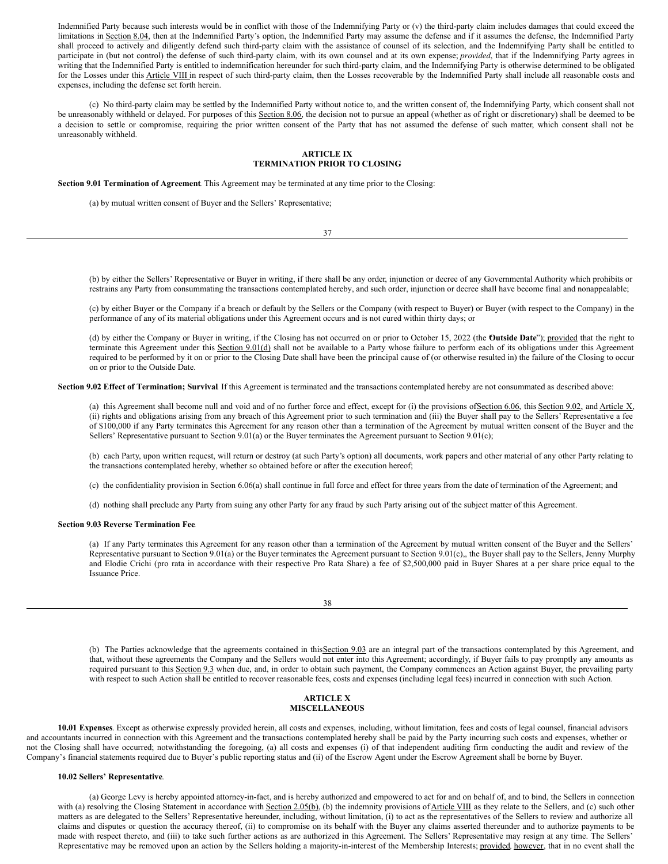Indemnified Party because such interests would be in conflict with those of the Indemnifying Party or (v) the third-party claim includes damages that could exceed the limitations in Section 8.04, then at the Indemnified Party's option, the Indemnified Party may assume the defense and if it assumes the defense, the Indemnified Party shall proceed to actively and diligently defend such third-party claim with the assistance of counsel of its selection, and the Indemnifying Party shall be entitled to participate in (but not control) the defense of such third-party claim, with its own counsel and at its own expense; *provided*, that if the Indemnifying Party agrees in writing that the Indemnified Party is entitled to indemnification hereunder for such third-party claim, and the Indemnifying Party is otherwise determined to be obligated for the Losses under this Article VIII in respect of such third-party claim, then the Losses recoverable by the Indemnified Party shall include all reasonable costs and expenses, including the defense set forth herein.

(c) No third-party claim may be settled by the Indemnified Party without notice to, and the written consent of, the Indemnifying Party, which consent shall not be unreasonably withheld or delayed. For purposes of this Section 8.06, the decision not to pursue an appeal (whether as of right or discretionary) shall be deemed to be a decision to settle or compromise, requiring the prior written consent of the Party that has not assumed the defense of such matter, which consent shall not be unreasonably withheld.

#### **ARTICLE IX TERMINATION PRIOR TO CLOSING**

**Section 9.01 Termination of Agreement**. This Agreement may be terminated at any time prior to the Closing:

(a) by mutual written consent of Buyer and the Sellers' Representative;

#### 37

(b) by either the Sellers' Representative or Buyer in writing, if there shall be any order, injunction or decree of any Governmental Authority which prohibits or restrains any Party from consummating the transactions contemplated hereby, and such order, injunction or decree shall have become final and nonappealable;

(c) by either Buyer or the Company if a breach or default by the Sellers or the Company (with respect to Buyer) or Buyer (with respect to the Company) in the performance of any of its material obligations under this Agreement occurs and is not cured within thirty days; or

(d) by either the Company or Buyer in writing, if the Closing has not occurred on or prior to October 15, 2022 (the "**Outside Date**"); provided that the right to terminate this Agreement under this Section 9.01(d) shall not be available to a Party whose failure to perform each of its obligations under this Agreement required to be performed by it on or prior to the Closing Date shall have been the principal cause of (or otherwise resulted in) the failure of the Closing to occur on or prior to the Outside Date.

**Section 9.02 Effect of Termination; Survival**. If this Agreement is terminated and the transactions contemplated hereby are not consummated as described above:

(a) this Agreement shall become null and void and of no further force and effect, except for (i) the provisions ofSection 6.06, this Section 9.02, and Article X, (ii) rights and obligations arising from any breach of this Agreement prior to such termination and (iii) the Buyer shall pay to the Sellers' Representative a fee of \$100,000 if any Party terminates this Agreement for any reason other than a termination of the Agreement by mutual written consent of the Buyer and the Sellers' Representative pursuant to Section 9.01(a) or the Buyer terminates the Agreement pursuant to Section 9.01(c);

(b) each Party, upon written request, will return or destroy (at such Party's option) all documents, work papers and other material of any other Party relating to the transactions contemplated hereby, whether so obtained before or after the execution hereof;

(c) the confidentiality provision in Section 6.06(a) shall continue in full force and effect for three years from the date of termination of the Agreement; and

(d) nothing shall preclude any Party from suing any other Party for any fraud by such Party arising out of the subject matter of this Agreement.

#### **Section 9.03 Reverse Termination Fee**.

(a) If any Party terminates this Agreement for any reason other than a termination of the Agreement by mutual written consent of the Buyer and the Sellers' Representative pursuant to Section 9.01(a) or the Buyer terminates the Agreement pursuant to Section 9.01(c),, the Buyer shall pay to the Sellers, Jenny Murphy and Elodie Crichi (pro rata in accordance with their respective Pro Rata Share) a fee of \$2,500,000 paid in Buyer Shares at a per share price equal to the Issuance Price.

#### 38

(b) The Parties acknowledge that the agreements contained in thisSection 9.03 are an integral part of the transactions contemplated by this Agreement, and that, without these agreements the Company and the Sellers would not enter into this Agreement; accordingly, if Buyer fails to pay promptly any amounts as required pursuant to this Section 9.3 when due, and, in order to obtain such payment, the Company commences an Action against Buyer, the prevailing party with respect to such Action shall be entitled to recover reasonable fees, costs and expenses (including legal fees) incurred in connection with such Action.

#### **ARTICLE X MISCELLANEOUS**

**10.01 Expenses**. Except as otherwise expressly provided herein, all costs and expenses, including, without limitation, fees and costs of legal counsel, financial advisors and accountants incurred in connection with this Agreement and the transactions contemplated hereby shall be paid by the Party incurring such costs and expenses, whether or not the Closing shall have occurred; notwithstanding the foregoing, (a) all costs and expenses (i) of that independent auditing firm conducting the audit and review of the Company's financial statements required due to Buyer's public reporting status and (ii) of the Escrow Agent under the Escrow Agreement shall be borne by Buyer.

#### **10.02 Sellers' Representative**.

(a) George Levy is hereby appointed attorney-in-fact, and is hereby authorized and empowered to act for and on behalf of, and to bind, the Sellers in connection with (a) resolving the Closing Statement in accordance with Section 2.05(b), (b) the indemnity provisions of Article VIII as they relate to the Sellers, and (c) such other matters as are delegated to the Sellers' Representative hereunder, including, without limitation, (i) to act as the representatives of the Sellers to review and authorize all claims and disputes or question the accuracy thereof, (ii) to compromise on its behalf with the Buyer any claims asserted thereunder and to authorize payments to be made with respect thereto, and (iii) to take such further actions as are authorized in this Agreement. The Sellers' Representative may resign at any time. The Sellers' Representative may be removed upon an action by the Sellers holding a majority-in-interest of the Membership Interests; provided*,* however, that in no event shall the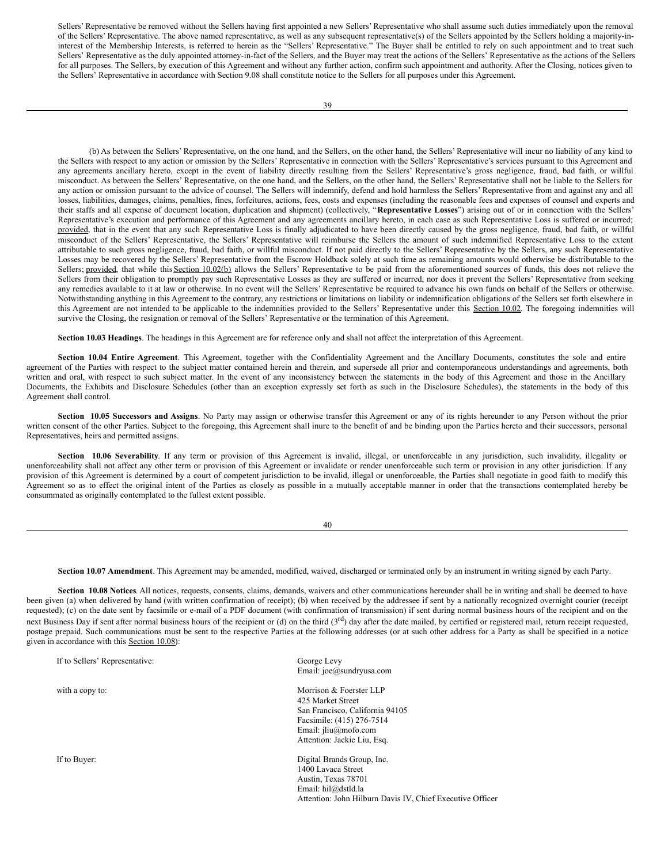Sellers' Representative be removed without the Sellers having first appointed a new Sellers' Representative who shall assume such duties immediately upon the removal of the Sellers' Representative. The above named representative, as well as any subsequent representative(s) of the Sellers appointed by the Sellers holding a majority-ininterest of the Membership Interests, is referred to herein as the "Sellers' Representative." The Buyer shall be entitled to rely on such appointment and to treat such Sellers' Representative as the duly appointed attorney-in-fact of the Sellers, and the Buyer may treat the actions of the Sellers' Representative as the actions of the Sellers for all purposes. The Sellers, by execution of this Agreement and without any further action, confirm such appointment and authority. After the Closing, notices given to the Sellers' Representative in accordance with Section 9.08 shall constitute notice to the Sellers for all purposes under this Agreement.

(b) As between the Sellers' Representative, on the one hand, and the Sellers, on the other hand, the Sellers' Representative will incur no liability of any kind to the Sellers with respect to any action or omission by the Sellers' Representative in connection with the Sellers' Representative's services pursuant to this Agreement and any agreements ancillary hereto, except in the event of liability directly resulting from the Sellers' Representative's gross negligence, fraud, bad faith, or willful misconduct. As between the Sellers' Representative, on the one hand, and the Sellers, on the other hand, the Sellers' Representative shall not be liable to the Sellers for any action or omission pursuant to the advice of counsel. The Sellers will indemnify, defend and hold harmless the Sellers' Representative from and against any and all losses, liabilities, damages, claims, penalties, fines, forfeitures, actions, fees, costs and expenses (including the reasonable fees and expenses of counsel and experts and their staffs and all expense of document location, duplication and shipment) (collectively, "**Representative Losses**") arising out of or in connection with the Sellers' Representative's execution and performance of this Agreement and any agreements ancillary hereto, in each case as such Representative Loss is suffered or incurred; provided, that in the event that any such Representative Loss is finally adjudicated to have been directly caused by the gross negligence, fraud, bad faith, or willful misconduct of the Sellers' Representative, the Sellers' Representative will reimburse the Sellers the amount of such indemnified Representative Loss to the extent attributable to such gross negligence, fraud, bad faith, or willful misconduct. If not paid directly to the Sellers' Representative by the Sellers, any such Representative Losses may be recovered by the Sellers' Representative from the Escrow Holdback solely at such time as remaining amounts would otherwise be distributable to the Sellers; provided, that while this Section 10.02(b) allows the Sellers' Representative to be paid from the aforementioned sources of funds, this does not relieve the Sellers from their obligation to promptly pay such Representative Losses as they are suffered or incurred, nor does it prevent the Sellers' Representative from seeking any remedies available to it at law or otherwise. In no event will the Sellers' Representative be required to advance his own funds on behalf of the Sellers or otherwise. Notwithstanding anything in this Agreement to the contrary, any restrictions or limitations on liability or indemnification obligations of the Sellers set forth elsewhere in this Agreement are not intended to be applicable to the indemnities provided to the Sellers' Representative under this Section 10.02. The foregoing indemnities will survive the Closing, the resignation or removal of the Sellers' Representative or the termination of this Agreement.

**Section 10.03 Headings**. The headings in this Agreement are for reference only and shall not affect the interpretation of this Agreement.

**Section 10.04 Entire Agreement**. This Agreement, together with the Confidentiality Agreement and the Ancillary Documents, constitutes the sole and entire agreement of the Parties with respect to the subject matter contained herein and therein, and supersede all prior and contemporaneous understandings and agreements, both written and oral, with respect to such subject matter. In the event of any inconsistency between the statements in the body of this Agreement and those in the Ancillary Documents, the Exhibits and Disclosure Schedules (other than an exception expressly set forth as such in the Disclosure Schedules), the statements in the body of this Agreement shall control.

**Section 10.05 Successors and Assigns**. No Party may assign or otherwise transfer this Agreement or any of its rights hereunder to any Person without the prior written consent of the other Parties. Subject to the foregoing, this Agreement shall inure to the benefit of and be binding upon the Parties hereto and their successors, personal Representatives, heirs and permitted assigns.

**Section 10.06 Severability**. If any term or provision of this Agreement is invalid, illegal, or unenforceable in any jurisdiction, such invalidity, illegality or unenforceability shall not affect any other term or provision of this Agreement or invalidate or render unenforceable such term or provision in any other jurisdiction. If any provision of this Agreement is determined by a court of competent jurisdiction to be invalid, illegal or unenforceable, the Parties shall negotiate in good faith to modify this Agreement so as to effect the original intent of the Parties as closely as possible in a mutually acceptable manner in order that the transactions contemplated hereby be consummated as originally contemplated to the fullest extent possible.

40

**Section 10.07 Amendment**. This Agreement may be amended, modified, waived, discharged or terminated only by an instrument in writing signed by each Party.

Section 10.08 Notices. All notices, requests, consents, claims, demands, waivers and other communications hereunder shall be in writing and shall be deemed to have been given (a) when delivered by hand (with written confirmation of receipt); (b) when received by the addressee if sent by a nationally recognized overnight courier (receipt requested); (c) on the date sent by facsimile or e-mail of a PDF document (with confirmation of transmission) if sent during normal business hours of the recipient and on the next Business Day if sent after normal business hours of the recipient or (d) on the third (3<sup>rd</sup>) day after the date mailed, by certified or registered mail, return receipt requested, postage prepaid. Such communications must be sent to the respective Parties at the following addresses (or at such other address for a Party as shall be specified in a notice given in accordance with this Section 10.08):

| If to Sellers' Representative: | George Levy                                               |
|--------------------------------|-----------------------------------------------------------|
|                                | Email: joe@sundryusa.com                                  |
| with a copy to:                | Morrison & Foerster LLP                                   |
|                                | 425 Market Street                                         |
|                                | San Francisco, California 94105                           |
|                                | Facsimile: (415) 276-7514                                 |
|                                | Email: $\text{iliu@mofo.com}$                             |
|                                | Attention: Jackie Liu, Esq.                               |
| If to Buyer:                   | Digital Brands Group, Inc.                                |
|                                | 1400 Lavaca Street                                        |
|                                | Austin, Texas 78701                                       |
|                                | Email: hil@dstld.la                                       |
|                                | Attention: John Hilburn Davis IV, Chief Executive Officer |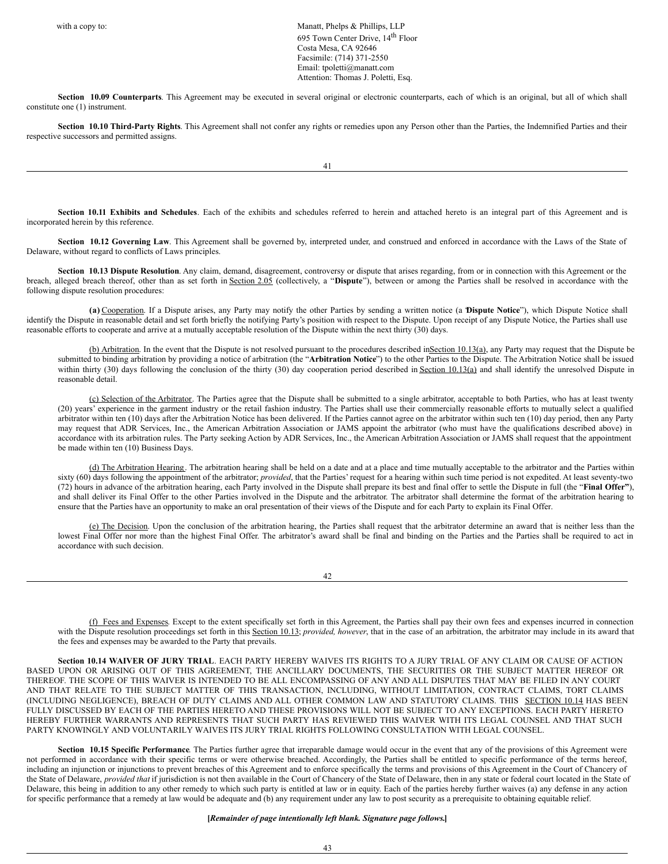with a copy to: Manatt, Phelps & Phillips, LLP 695 Town Center Drive, 14<sup>th</sup> Floor Costa Mesa, CA 92646 Facsimile: (714) 371-2550 Email: tpoletti@manatt.com Attention: Thomas J. Poletti, Esq.

**Section 10.09 Counterparts**. This Agreement may be executed in several original or electronic counterparts, each of which is an original, but all of which shall constitute one (1) instrument.

**Section 10.10 Third-Party Rights**. This Agreement shall not confer any rights or remedies upon any Person other than the Parties, the Indemnified Parties and their respective successors and permitted assigns.

**Section 10.11 Exhibits and Schedules**. Each of the exhibits and schedules referred to herein and attached hereto is an integral part of this Agreement and is incorporated herein by this reference.

**Section 10.12 Governing Law**. This Agreement shall be governed by, interpreted under, and construed and enforced in accordance with the Laws of the State of Delaware, without regard to conflicts of Laws principles.

**Section 10.13 Dispute Resolution**. Any claim, demand, disagreement, controversy or dispute that arises regarding, from or in connection with this Agreement or the breach, alleged breach thereof, other than as set forth in Section 2.05 (collectively, a "**Dispute**"), between or among the Parties shall be resolved in accordance with the following dispute resolution procedures:

(a) Cooperation. If a Dispute arises, any Party may notify the other Parties by sending a written notice (a *Dispute Notice*"), which Dispute Notice shall identify the Dispute in reasonable detail and set forth briefly the notifying Party's position with respect to the Dispute. Upon receipt of any Dispute Notice, the Parties shall use reasonable efforts to cooperate and arrive at a mutually acceptable resolution of the Dispute within the next thirty (30) days.

(b) Arbitration. In the event that the Dispute is not resolved pursuant to the procedures described in Section 10.13(a), any Party may request that the Dispute be submitted to binding arbitration by providing a notice of arbitration (the "**Arbitration Notice**") to the other Parties to the Dispute. The Arbitration Notice shall be issued within thirty (30) days following the conclusion of the thirty (30) day cooperation period described in Section 10.13(a) and shall identify the unresolved Dispute in reasonable detail.

(c) Selection of the Arbitrator. The Parties agree that the Dispute shall be submitted to a single arbitrator, acceptable to both Parties, who has at least twenty (20) years' experience in the garment industry or the retail fashion industry. The Parties shall use their commercially reasonable efforts to mutually select a qualified arbitrator within ten (10) days after the Arbitration Notice has been delivered. If the Parties cannot agree on the arbitrator within such ten (10) day period, then any Party may request that ADR Services, Inc., the American Arbitration Association or JAMS appoint the arbitrator (who must have the qualifications described above) in accordance with its arbitration rules. The Party seeking Action by ADR Services, Inc., the American Arbitration Association or JAMS shall request that the appointment be made within ten (10) Business Days.

(d) The Arbitration Hearing. The arbitration hearing shall be held on a date and at a place and time mutually acceptable to the arbitrator and the Parties within sixty (60) days following the appointment of the arbitrator; *provided*, that the Parties' request for a hearing within such time period is not expedited. At least seventy-two (72) hours in advance of the arbitration hearing, each Party involved in the Dispute shall prepare its best and final offer to settle the Dispute in full (the "**Final Offer"**), and shall deliver its Final Offer to the other Parties involved in the Dispute and the arbitrator. The arbitrator shall determine the format of the arbitration hearing to ensure that the Parties have an opportunity to make an oral presentation of their views of the Dispute and for each Party to explain its Final Offer.

(e) The Decision. Upon the conclusion of the arbitration hearing, the Parties shall request that the arbitrator determine an award that is neither less than the lowest Final Offer nor more than the highest Final Offer. The arbitrator's award shall be final and binding on the Parties and the Parties shall be required to act in accordance with such decision.

42

(f) Fees and Expenses. Except to the extent specifically set forth in this Agreement, the Parties shall pay their own fees and expenses incurred in connection with the Dispute resolution proceedings set forth in this Section 10.13; *provided, however*, that in the case of an arbitration, the arbitrator may include in its award that the fees and expenses may be awarded to the Party that prevails.

**Section 10.14 WAIVER OF JURY TRIAL**. EACH PARTY HEREBY WAIVES ITS RIGHTS TO A JURY TRIAL OF ANY CLAIM OR CAUSE OF ACTION BASED UPON OR ARISING OUT OF THIS AGREEMENT, THE ANCILLARY DOCUMENTS, THE SECURITIES OR THE SUBJECT MATTER HEREOF OR THEREOF. THE SCOPE OF THIS WAIVER IS INTENDED TO BE ALL ENCOMPASSING OF ANY AND ALL DISPUTES THAT MAY BE FILED IN ANY COURT AND THAT RELATE TO THE SUBJECT MATTER OF THIS TRANSACTION, INCLUDING, WITHOUT LIMITATION, CONTRACT CLAIMS, TORT CLAIMS (INCLUDING NEGLIGENCE), BREACH OF DUTY CLAIMS AND ALL OTHER COMMON LAW AND STATUTORY CLAIMS. THIS SECTION 10.14 HAS BEEN FULLY DISCUSSED BY EACH OF THE PARTIES HERETO AND THESE PROVISIONS WILL NOT BE SUBJECT TO ANY EXCEPTIONS. EACH PARTY HERETO HEREBY FURTHER WARRANTS AND REPRESENTS THAT SUCH PARTY HAS REVIEWED THIS WAIVER WITH ITS LEGAL COUNSEL AND THAT SUCH PARTY KNOWINGLY AND VOLUNTARILY WAIVES ITS JURY TRIAL RIGHTS FOLLOWING CONSULTATION WITH LEGAL COUNSEL.

**Section 10.15 Specific Performance**. The Parties further agree that irreparable damage would occur in the event that any of the provisions of this Agreement were not performed in accordance with their specific terms or were otherwise breached. Accordingly, the Parties shall be entitled to specific performance of the terms hereof, including an injunction or injunctions to prevent breaches of this Agreement and to enforce specifically the terms and provisions of this Agreement in the Court of Chancery of the State of Delaware, *provided that* if jurisdiction is not then available in the Court of Chancery of the State of Delaware, then in any state or federal court located in the State of Delaware, this being in addition to any other remedy to which such party is entitled at law or in equity. Each of the parties hereby further waives (a) any defense in any action for specific performance that a remedy at law would be adequate and (b) any requirement under any law to post security as a prerequisite to obtaining equitable relief.

#### **[***Remainder of page intentionally left blank. Signature page follows.***]**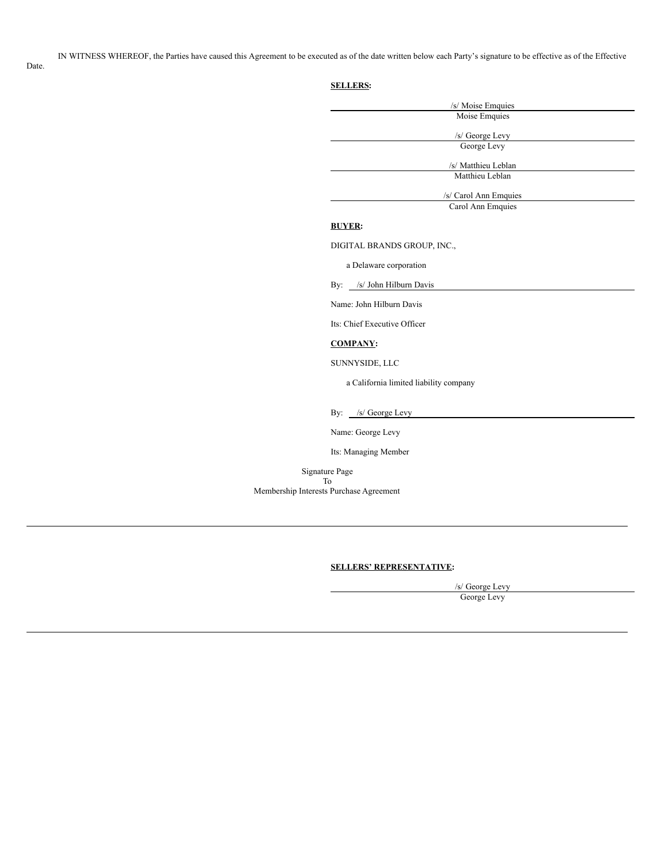#### **SELLERS:**

| /s/ Moise Emquies                             |
|-----------------------------------------------|
| Moise Emquies                                 |
| /s/ George Levy                               |
| George Levy                                   |
| /s/ Matthieu Leblan                           |
| Matthieu Leblan                               |
| /s/ Carol Ann Emquies                         |
| Carol Ann Emquies                             |
| <b>BUYER:</b>                                 |
| DIGITAL BRANDS GROUP, INC.,                   |
| a Delaware corporation                        |
| /s/ John Hilburn Davis<br>$\mathbf{By:}$      |
| Name: John Hilburn Davis                      |
| Its: Chief Executive Officer                  |
| <b>COMPANY:</b>                               |
| SUNNYSIDE, LLC                                |
| a California limited liability company        |
|                                               |
| /s/ George Levy<br>By:                        |
| Name: George Levy                             |
| Its: Managing Member                          |
| <b>Signature Page</b>                         |
| To<br>Membership Interests Purchase Agreement |
|                                               |
|                                               |

#### **SELLERS' REPRESENTATIVE:**

/s/ George Levy George Levy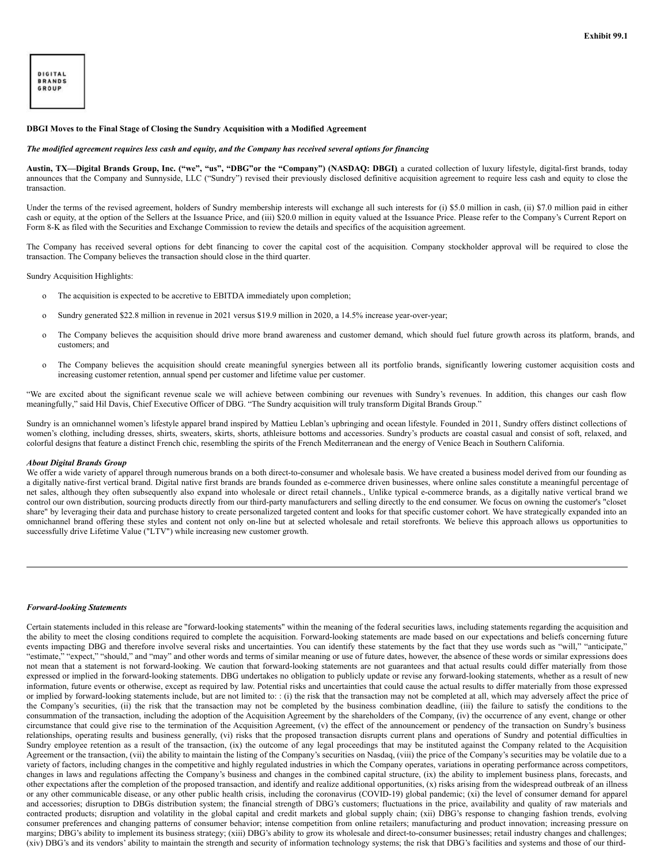<span id="page-26-0"></span>

#### **DBGI Moves to the Final Stage of Closing the Sundry Acquisition with a Modified Agreement**

The modified agreement requires less cash and equity, and the Company has received several options for financing

Austin, TX-Digital Brands Group, Inc. ("we", "us", "DBG"or the "Company") (NASDAQ: DBGI) a curated collection of luxury lifestyle, digital-first brands, today announces that the Company and Sunnyside, LLC ("Sundry") revised their previously disclosed definitive acquisition agreement to require less cash and equity to close the transaction.

Under the terms of the revised agreement, holders of Sundry membership interests will exchange all such interests for (i) \$5.0 million in cash, (ii) \$7.0 million paid in either cash or equity, at the option of the Sellers at the Issuance Price, and (iii) \$20.0 million in equity valued at the Issuance Price. Please refer to the Company's Current Report on Form 8-K as filed with the Securities and Exchange Commission to review the details and specifics of the acquisition agreement.

The Company has received several options for debt financing to cover the capital cost of the acquisition. Company stockholder approval will be required to close the transaction. The Company believes the transaction should close in the third quarter.

Sundry Acquisition Highlights:

- The acquisition is expected to be accretive to EBITDA immediately upon completion;
- o Sundry generated \$22.8 million in revenue in 2021 versus \$19.9 million in 2020, a 14.5% increase year-over-year;
- o The Company believes the acquisition should drive more brand awareness and customer demand, which should fuel future growth across its platform, brands, and customers; and
- o The Company believes the acquisition should create meaningful synergies between all its portfolio brands, significantly lowering customer acquisition costs and increasing customer retention, annual spend per customer and lifetime value per customer.

"We are excited about the significant revenue scale we will achieve between combining our revenues with Sundry's revenues. In addition, this changes our cash flow meaningfully," said Hil Davis, Chief Executive Officer of DBG. "The Sundry acquisition will truly transform Digital Brands Group."

Sundry is an omnichannel women's lifestyle apparel brand inspired by Mattieu Leblan's upbringing and ocean lifestyle. Founded in 2011, Sundry offers distinct collections of women's clothing, including dresses, shirts, sweaters, skirts, shorts, athleisure bottoms and accessories. Sundry's products are coastal casual and consist of soft, relaxed, and colorful designs that feature a distinct French chic, resembling the spirits of the French Mediterranean and the energy of Venice Beach in Southern California.

#### *About Digital Brands Group*

We offer a wide variety of apparel through numerous brands on a both direct-to-consumer and wholesale basis. We have created a business model derived from our founding as a digitally native-first vertical brand. Digital native first brands are brands founded as e-commerce driven businesses, where online sales constitute a meaningful percentage of net sales, although they often subsequently also expand into wholesale or direct retail channels., Unlike typical e-commerce brands, as a digitally native vertical brand we control our own distribution, sourcing products directly from our third-party manufacturers and selling directly to the end consumer. We focus on owning the customer's "closet share" by leveraging their data and purchase history to create personalized targeted content and looks for that specific customer cohort. We have strategically expanded into an omnichannel brand offering these styles and content not only on-line but at selected wholesale and retail storefronts. We believe this approach allows us opportunities to successfully drive Lifetime Value ("LTV") while increasing new customer growth.

#### *Forward-looking Statements*

Certain statements included in this release are "forward-looking statements" within the meaning of the federal securities laws, including statements regarding the acquisition and the ability to meet the closing conditions required to complete the acquisition. Forward-looking statements are made based on our expectations and beliefs concerning future events impacting DBG and therefore involve several risks and uncertainties. You can identify these statements by the fact that they use words such as "will," "anticipate," "estimate," "expect," "should," and "may" and other words and terms of similar meaning or use of future dates, however, the absence of these words or similar expressions does not mean that a statement is not forward-looking. We caution that forward-looking statements are not guarantees and that actual results could differ materially from those expressed or implied in the forward-looking statements. DBG undertakes no obligation to publicly update or revise any forward-looking statements, whether as a result of new information, future events or otherwise, except as required by law. Potential risks and uncertainties that could cause the actual results to differ materially from those expressed or implied by forward-looking statements include, but are not limited to: : (i) the risk that the transaction may not be completed at all, which may adversely affect the price of the Company's securities, (ii) the risk that the transaction may not be completed by the business combination deadline, (iii) the failure to satisfy the conditions to the consummation of the transaction, including the adoption of the Acquisition Agreement by the shareholders of the Company, (iv) the occurrence of any event, change or other circumstance that could give rise to the termination of the Acquisition Agreement, (v) the effect of the announcement or pendency of the transaction on Sundry's business relationships, operating results and business generally, (vi) risks that the proposed transaction disrupts current plans and operations of Sundry and potential difficulties in Sundry employee retention as a result of the transaction, (ix) the outcome of any legal proceedings that may be instituted against the Company related to the Acquisition Agreement or the transaction, (vii) the ability to maintain the listing of the Company's securities on Nasdaq, (viii) the price of the Company's securities may be volatile due to a variety of factors, including changes in the competitive and highly regulated industries in which the Company operates, variations in operating performance across competitors, changes in laws and regulations affecting the Company's business and changes in the combined capital structure, (ix) the ability to implement business plans, forecasts, and other expectations after the completion of the proposed transaction, and identify and realize additional opportunities, (x) risks arising from the widespread outbreak of an illness or any other communicable disease, or any other public health crisis, including the coronavirus (COVID-19) global pandemic; (xi) the level of consumer demand for apparel and accessories; disruption to DBGs distribution system; the financial strength of DBG's customers; fluctuations in the price, availability and quality of raw materials and contracted products; disruption and volatility in the global capital and credit markets and global supply chain; (xii) DBG's response to changing fashion trends, evolving consumer preferences and changing patterns of consumer behavior; intense competition from online retailers; manufacturing and product innovation; increasing pressure on margins; DBG's ability to implement its business strategy; (xiii) DBG's ability to grow its wholesale and direct-to-consumer businesses; retail industry changes and challenges; (xiv) DBG's and its vendors' ability to maintain the strength and security of information technology systems; the risk that DBG's facilities and systems and those of our third